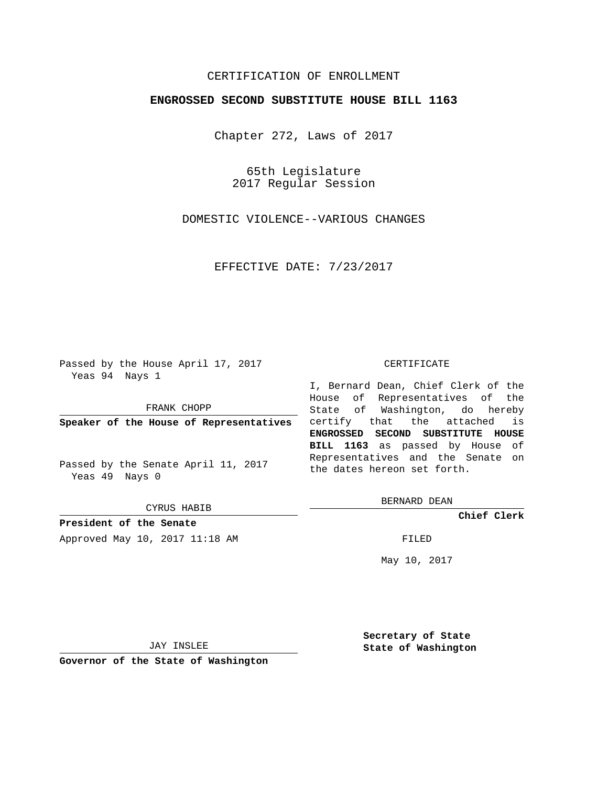## CERTIFICATION OF ENROLLMENT

### **ENGROSSED SECOND SUBSTITUTE HOUSE BILL 1163**

Chapter 272, Laws of 2017

65th Legislature 2017 Regular Session

DOMESTIC VIOLENCE--VARIOUS CHANGES

EFFECTIVE DATE: 7/23/2017

Passed by the House April 17, 2017 Yeas 94 Nays 1

FRANK CHOPP

Passed by the Senate April 11, 2017 Yeas 49 Nays 0

CYRUS HABIB

**President of the Senate** Approved May 10, 2017 11:18 AM FILED

#### CERTIFICATE

**Speaker of the House of Representatives** certify that the attached is I, Bernard Dean, Chief Clerk of the House of Representatives of the State of Washington, do hereby **ENGROSSED SECOND SUBSTITUTE HOUSE BILL 1163** as passed by House of Representatives and the Senate on the dates hereon set forth.

BERNARD DEAN

**Chief Clerk**

May 10, 2017

JAY INSLEE

**Governor of the State of Washington**

**Secretary of State State of Washington**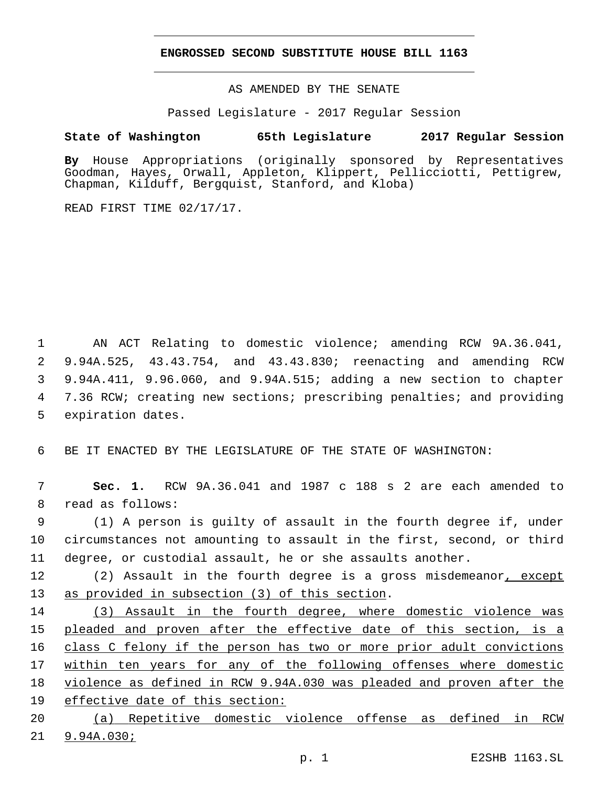#### **ENGROSSED SECOND SUBSTITUTE HOUSE BILL 1163**

AS AMENDED BY THE SENATE

Passed Legislature - 2017 Regular Session

## **State of Washington 65th Legislature 2017 Regular Session**

**By** House Appropriations (originally sponsored by Representatives Goodman, Hayes, Orwall, Appleton, Klippert, Pellicciotti, Pettigrew, Chapman, Kilduff, Bergquist, Stanford, and Kloba)

READ FIRST TIME 02/17/17.

 AN ACT Relating to domestic violence; amending RCW 9A.36.041, 9.94A.525, 43.43.754, and 43.43.830; reenacting and amending RCW 9.94A.411, 9.96.060, and 9.94A.515; adding a new section to chapter 7.36 RCW; creating new sections; prescribing penalties; and providing 5 expiration dates.

6 BE IT ENACTED BY THE LEGISLATURE OF THE STATE OF WASHINGTON:

7 **Sec. 1.** RCW 9A.36.041 and 1987 c 188 s 2 are each amended to 8 read as follows:

9 (1) A person is guilty of assault in the fourth degree if, under 10 circumstances not amounting to assault in the first, second, or third 11 degree, or custodial assault, he or she assaults another.

12 (2) Assault in the fourth degree is a gross misdemeanor, except 13 as provided in subsection (3) of this section.

14 (3) Assault in the fourth degree, where domestic violence was 15 pleaded and proven after the effective date of this section, is a 16 class C felony if the person has two or more prior adult convictions 17 within ten years for any of the following offenses where domestic 18 violence as defined in RCW 9.94A.030 was pleaded and proven after the 19 effective date of this section:

20 (a) Repetitive domestic violence offense as defined in RCW 21 9.94A.030;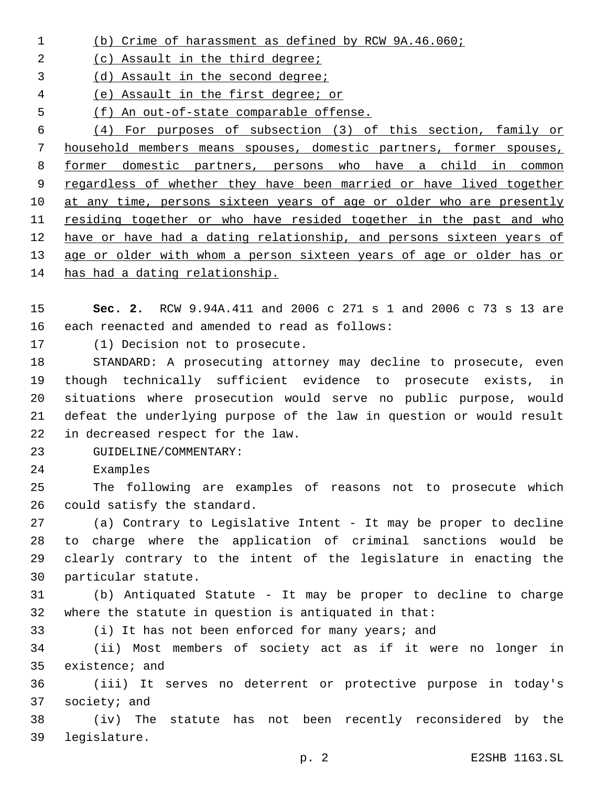(b) Crime of harassment as defined by RCW 9A.46.060; 2 (c) Assault in the third degree; (d) Assault in the second degree; (e) Assault in the first degree; or (f) An out-of-state comparable offense. (4) For purposes of subsection (3) of this section, family or household members means spouses, domestic partners, former spouses, former domestic partners, persons who have a child in common regardless of whether they have been married or have lived together 10 at any time, persons sixteen years of age or older who are presently residing together or who have resided together in the past and who have or have had a dating relationship, and persons sixteen years of 13 age or older with whom a person sixteen years of age or older has or

has had a dating relationship.

 **Sec. 2.** RCW 9.94A.411 and 2006 c 271 s 1 and 2006 c 73 s 13 are 16 each reenacted and amended to read as follows:

17 (1) Decision not to prosecute.

 STANDARD: A prosecuting attorney may decline to prosecute, even though technically sufficient evidence to prosecute exists, in situations where prosecution would serve no public purpose, would defeat the underlying purpose of the law in question or would result 22 in decreased respect for the law.

- 23 GUIDELINE/COMMENTARY:
- 24 Examples

 The following are examples of reasons not to prosecute which 26 could satisfy the standard.

 (a) Contrary to Legislative Intent - It may be proper to decline to charge where the application of criminal sanctions would be clearly contrary to the intent of the legislature in enacting the 30 particular statute.

 (b) Antiquated Statute - It may be proper to decline to charge where the statute in question is antiquated in that:

(i) It has not been enforced for many years; and

 (ii) Most members of society act as if it were no longer in 35 existence; and

 (iii) It serves no deterrent or protective purpose in today's 37 society; and

 (iv) The statute has not been recently reconsidered by the 39 legislature.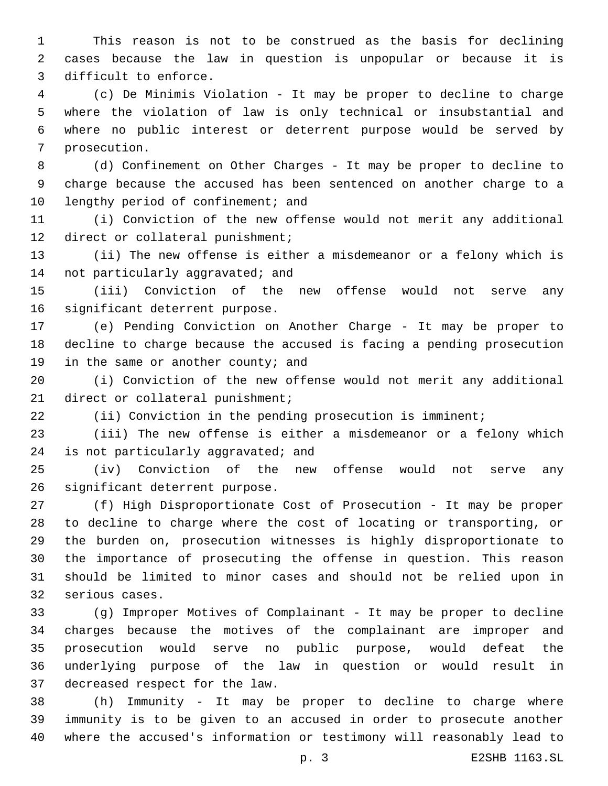This reason is not to be construed as the basis for declining cases because the law in question is unpopular or because it is 3 difficult to enforce.

 (c) De Minimis Violation - It may be proper to decline to charge where the violation of law is only technical or insubstantial and where no public interest or deterrent purpose would be served by 7 prosecution.

 (d) Confinement on Other Charges - It may be proper to decline to charge because the accused has been sentenced on another charge to a 10 lengthy period of confinement; and

 (i) Conviction of the new offense would not merit any additional 12 direct or collateral punishment;

 (ii) The new offense is either a misdemeanor or a felony which is 14 not particularly aggravated; and

 (iii) Conviction of the new offense would not serve any 16 significant deterrent purpose.

 (e) Pending Conviction on Another Charge - It may be proper to decline to charge because the accused is facing a pending prosecution 19 in the same or another county; and

 (i) Conviction of the new offense would not merit any additional 21 direct or collateral punishment;

(ii) Conviction in the pending prosecution is imminent;

 (iii) The new offense is either a misdemeanor or a felony which 24 is not particularly aggravated; and

 (iv) Conviction of the new offense would not serve any 26 significant deterrent purpose.

 (f) High Disproportionate Cost of Prosecution - It may be proper to decline to charge where the cost of locating or transporting, or the burden on, prosecution witnesses is highly disproportionate to the importance of prosecuting the offense in question. This reason should be limited to minor cases and should not be relied upon in 32 serious cases.

 (g) Improper Motives of Complainant - It may be proper to decline charges because the motives of the complainant are improper and prosecution would serve no public purpose, would defeat the underlying purpose of the law in question or would result in 37 decreased respect for the law.

 (h) Immunity - It may be proper to decline to charge where immunity is to be given to an accused in order to prosecute another where the accused's information or testimony will reasonably lead to

p. 3 E2SHB 1163.SL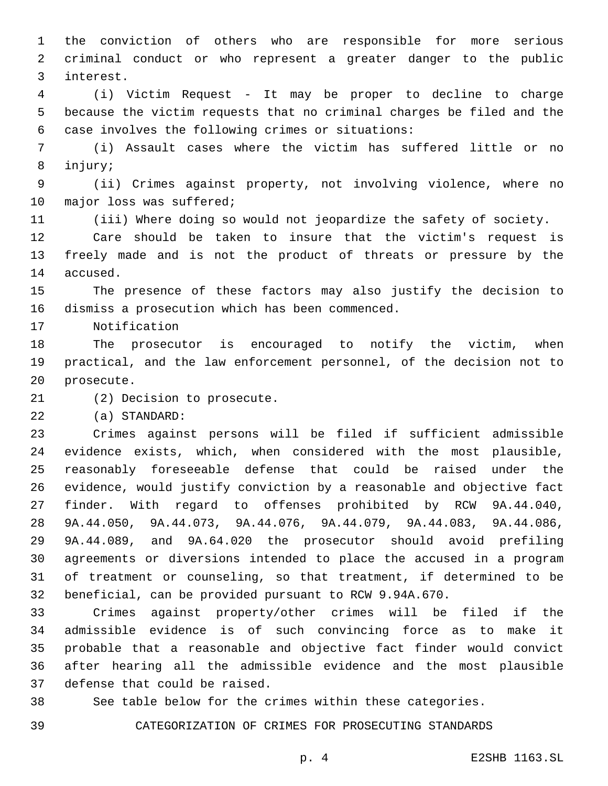the conviction of others who are responsible for more serious criminal conduct or who represent a greater danger to the public interest.3

 (i) Victim Request - It may be proper to decline to charge because the victim requests that no criminal charges be filed and the case involves the following crimes or situations:6

 (i) Assault cases where the victim has suffered little or no 8 injury;

 (ii) Crimes against property, not involving violence, where no 10 major loss was suffered;

(iii) Where doing so would not jeopardize the safety of society.

 Care should be taken to insure that the victim's request is freely made and is not the product of threats or pressure by the 14 accused.

 The presence of these factors may also justify the decision to 16 dismiss a prosecution which has been commenced.

17 Notification

 The prosecutor is encouraged to notify the victim, when practical, and the law enforcement personnel, of the decision not to 20 prosecute.

21 (2) Decision to prosecute.

(a) STANDARD:22

 Crimes against persons will be filed if sufficient admissible evidence exists, which, when considered with the most plausible, reasonably foreseeable defense that could be raised under the evidence, would justify conviction by a reasonable and objective fact finder. With regard to offenses prohibited by RCW 9A.44.040, 9A.44.050, 9A.44.073, 9A.44.076, 9A.44.079, 9A.44.083, 9A.44.086, 9A.44.089, and 9A.64.020 the prosecutor should avoid prefiling agreements or diversions intended to place the accused in a program of treatment or counseling, so that treatment, if determined to be beneficial, can be provided pursuant to RCW 9.94A.670.

 Crimes against property/other crimes will be filed if the admissible evidence is of such convincing force as to make it probable that a reasonable and objective fact finder would convict after hearing all the admissible evidence and the most plausible 37 defense that could be raised.

See table below for the crimes within these categories.

CATEGORIZATION OF CRIMES FOR PROSECUTING STANDARDS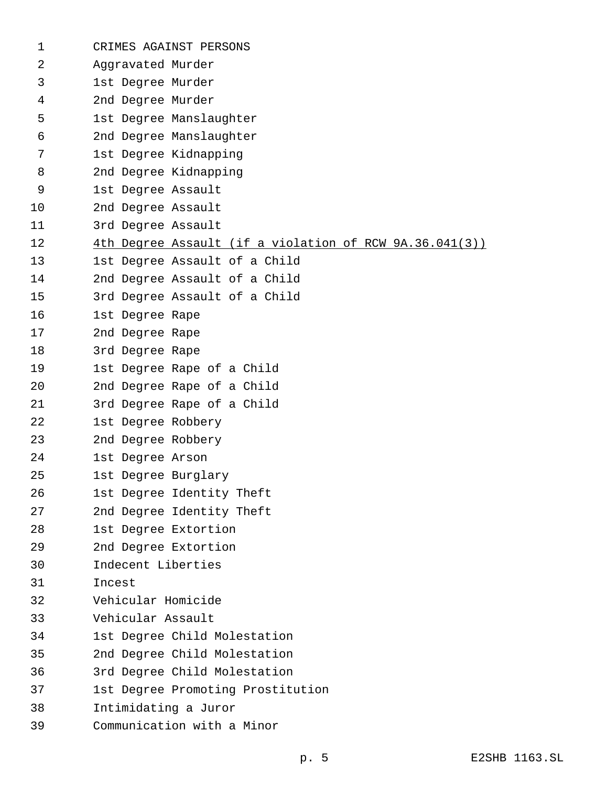| 1  | CRIMES AGAINST PERSONS                                  |  |  |  |  |
|----|---------------------------------------------------------|--|--|--|--|
| 2  | Aggravated Murder                                       |  |  |  |  |
| 3  | 1st Degree Murder                                       |  |  |  |  |
| 4  | 2nd Degree Murder                                       |  |  |  |  |
| 5  | 1st Degree Manslaughter                                 |  |  |  |  |
| 6  | 2nd Degree Manslaughter                                 |  |  |  |  |
| 7  | 1st Degree Kidnapping                                   |  |  |  |  |
| 8  | 2nd Degree Kidnapping                                   |  |  |  |  |
| 9  | 1st Degree Assault                                      |  |  |  |  |
| 10 | 2nd Degree Assault                                      |  |  |  |  |
| 11 | 3rd Degree Assault                                      |  |  |  |  |
| 12 | 4th Degree Assault (if a violation of RCW 9A.36.041(3)) |  |  |  |  |
| 13 | 1st Degree Assault of a Child                           |  |  |  |  |
| 14 | 2nd Degree Assault of a Child                           |  |  |  |  |
| 15 | 3rd Degree Assault of a Child                           |  |  |  |  |
| 16 | 1st Degree Rape                                         |  |  |  |  |
| 17 | 2nd Degree Rape                                         |  |  |  |  |
| 18 | 3rd Degree Rape                                         |  |  |  |  |
| 19 | 1st Degree Rape of a Child                              |  |  |  |  |
| 20 | 2nd Degree Rape of a Child                              |  |  |  |  |
| 21 | 3rd Degree Rape of a Child                              |  |  |  |  |
| 22 | 1st Degree Robbery                                      |  |  |  |  |
| 23 | 2nd Degree Robbery                                      |  |  |  |  |
| 24 | 1st Degree Arson                                        |  |  |  |  |
| 25 | 1st Degree Burglary                                     |  |  |  |  |
| 26 | 1st Degree Identity Theft                               |  |  |  |  |
| 27 | 2nd Degree Identity Theft                               |  |  |  |  |
| 28 | 1st Degree Extortion                                    |  |  |  |  |
| 29 | 2nd Degree Extortion                                    |  |  |  |  |
| 30 | Indecent Liberties                                      |  |  |  |  |
| 31 | Incest                                                  |  |  |  |  |
| 32 | Vehicular Homicide                                      |  |  |  |  |
| 33 | Vehicular Assault                                       |  |  |  |  |
| 34 | 1st Degree Child Molestation                            |  |  |  |  |
| 35 | 2nd Degree Child Molestation                            |  |  |  |  |
| 36 | 3rd Degree Child Molestation                            |  |  |  |  |
| 37 | 1st Degree Promoting Prostitution                       |  |  |  |  |
| 38 | Intimidating a Juror                                    |  |  |  |  |
| 39 | Communication with a Minor                              |  |  |  |  |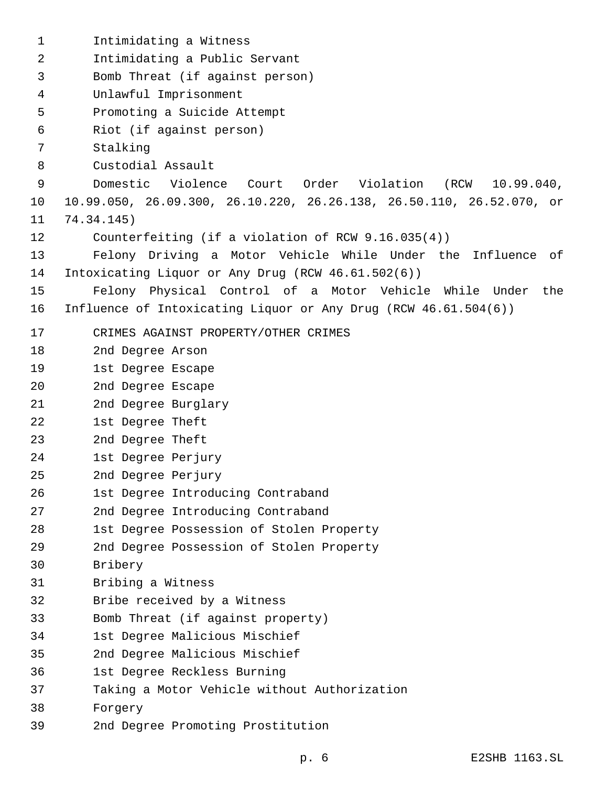| 1              | Intimidating a Witness                                               |
|----------------|----------------------------------------------------------------------|
| $\overline{2}$ | Intimidating a Public Servant                                        |
| 3              | Bomb Threat (if against person)                                      |
| $\overline{4}$ | Unlawful Imprisonment                                                |
| 5              | Promoting a Suicide Attempt                                          |
| 6              | Riot (if against person)                                             |
| 7              | Stalking                                                             |
| 8              | Custodial Assault                                                    |
| 9              | Domestic<br>Violence Court Order Violation (RCW 10.99.040,           |
| 10             | 10.99.050, 26.09.300, 26.10.220, 26.26.138, 26.50.110, 26.52.070, or |
| 11             | 74.34.145)                                                           |
| 12             | Counterfeiting (if a violation of RCW 9.16.035(4))                   |
| 13             | Felony Driving a Motor Vehicle While Under the Influence<br>of       |
| 14             | Intoxicating Liquor or Any Drug (RCW 46.61.502(6))                   |
| 15             | Felony Physical Control of a Motor Vehicle While Under the           |
| 16             | Influence of Intoxicating Liquor or Any Drug (RCW 46.61.504(6))      |
| 17             | CRIMES AGAINST PROPERTY/OTHER CRIMES                                 |
| 18             | 2nd Degree Arson                                                     |
| 19             | 1st Degree Escape                                                    |
| 20             | 2nd Degree Escape                                                    |
| 21             | 2nd Degree Burglary                                                  |
| 22             | 1st Degree Theft                                                     |
| 23             | 2nd Degree Theft                                                     |
| 24             | 1st Degree Perjury                                                   |
| 25             | 2nd Degree Perjury                                                   |
| 26             | 1st Degree Introducing Contraband                                    |
| 27             | 2nd Degree Introducing Contraband                                    |
| 28             | 1st Degree Possession of Stolen Property                             |
| 29             | 2nd Degree Possession of Stolen Property                             |
| 30             | Bribery                                                              |
| 31             | Bribing a Witness                                                    |
| 32             | Bribe received by a Witness                                          |
| 33             | Bomb Threat (if against property)                                    |
| 34             | 1st Degree Malicious Mischief                                        |
| 35             | 2nd Degree Malicious Mischief                                        |
| 36             | 1st Degree Reckless Burning                                          |
| 37             | Taking a Motor Vehicle without Authorization                         |
| 38             | Forgery                                                              |
| 39             | 2nd Degree Promoting Prostitution                                    |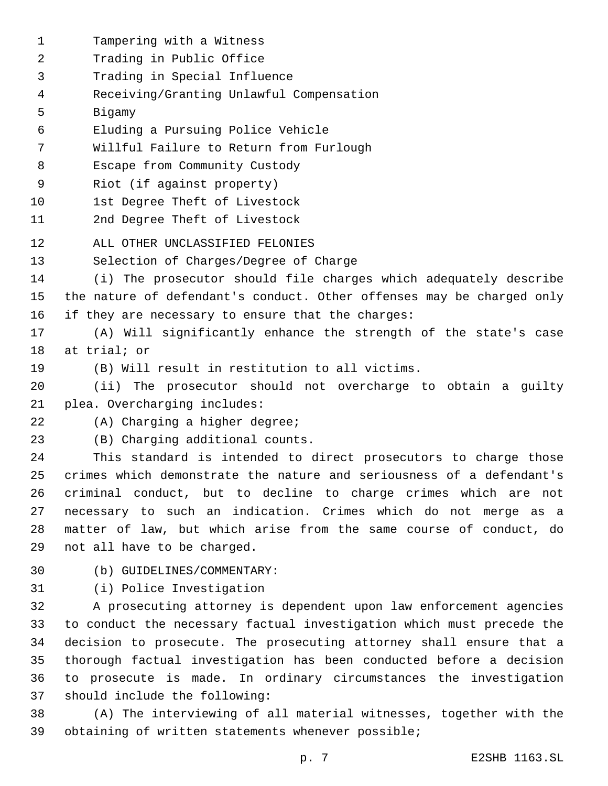1 Tampering with a Witness 2 Trading in Public Office 3 Trading in Special Influence Receiving/Granting Unlawful Compensation4 5 Bigamy Eluding a Pursuing Police Vehicle6 7 Willful Failure to Return from Furlough 8 Escape from Community Custody 9 Riot (if against property) 10 1st Degree Theft of Livestock 11 2nd Degree Theft of Livestock 12 ALL OTHER UNCLASSIFIED FELONIES 13 Selection of Charges/Degree of Charge 14 (i) The prosecutor should file charges which adequately describe 15 the nature of defendant's conduct. Other offenses may be charged only 16 if they are necessary to ensure that the charges: 17 (A) Will significantly enhance the strength of the state's case 18 at trial; or 19 (B) Will result in restitution to all victims. 20 (ii) The prosecutor should not overcharge to obtain a guilty 21 plea. Overcharging includes:  $(22)$   $(A)$  Charging a higher degree; (B) Charging additional counts.23 24 This standard is intended to direct prosecutors to charge those 25 crimes which demonstrate the nature and seriousness of a defendant's 26 criminal conduct, but to decline to charge crimes which are not 27 necessary to such an indication. Crimes which do not merge as a 28 matter of law, but which arise from the same course of conduct, do 29 not all have to be charged. (b) GUIDELINES/COMMENTARY:30 31 (i) Police Investigation 32 A prosecuting attorney is dependent upon law enforcement agencies 33 to conduct the necessary factual investigation which must precede the 34 decision to prosecute. The prosecuting attorney shall ensure that a

35 thorough factual investigation has been conducted before a decision 36 to prosecute is made. In ordinary circumstances the investigation 37 should include the following:

38 (A) The interviewing of all material witnesses, together with the 39 obtaining of written statements whenever possible;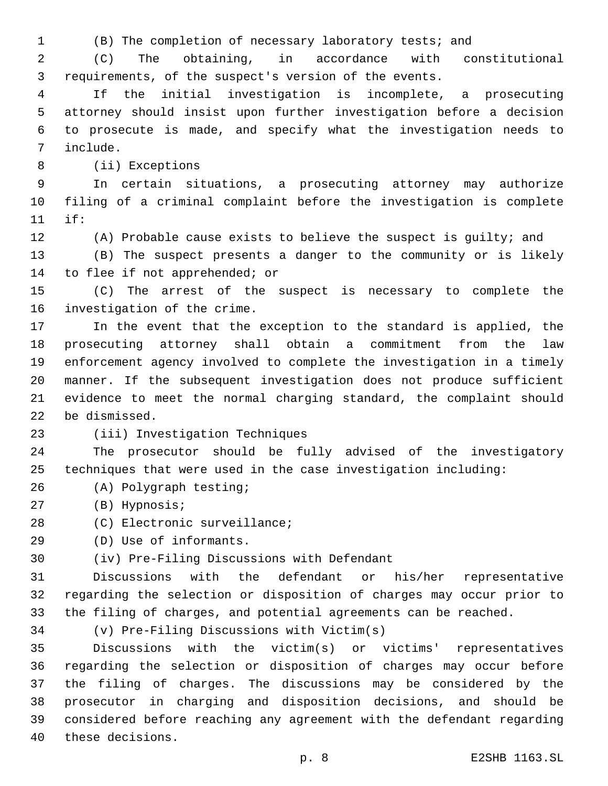(B) The completion of necessary laboratory tests; and

 (C) The obtaining, in accordance with constitutional requirements, of the suspect's version of the events.

 If the initial investigation is incomplete, a prosecuting attorney should insist upon further investigation before a decision to prosecute is made, and specify what the investigation needs to include.7

8 (ii) Exceptions

 In certain situations, a prosecuting attorney may authorize filing of a criminal complaint before the investigation is complete if:11

 (A) Probable cause exists to believe the suspect is guilty; and (B) The suspect presents a danger to the community or is likely

14 to flee if not apprehended; or

 (C) The arrest of the suspect is necessary to complete the 16 investigation of the crime.

 In the event that the exception to the standard is applied, the prosecuting attorney shall obtain a commitment from the law enforcement agency involved to complete the investigation in a timely manner. If the subsequent investigation does not produce sufficient evidence to meet the normal charging standard, the complaint should 22 be dismissed.

# 23 (iii) Investigation Techniques

 The prosecutor should be fully advised of the investigatory techniques that were used in the case investigation including:

- (A) Polygraph testing;26
- 27 (B) Hypnosis;
- 28 (C) Electronic surveillance;
- (D) Use of informants.29

(iv) Pre-Filing Discussions with Defendant30

 Discussions with the defendant or his/her representative regarding the selection or disposition of charges may occur prior to the filing of charges, and potential agreements can be reached.

(v) Pre-Filing Discussions with Victim(s)

 Discussions with the victim(s) or victims' representatives regarding the selection or disposition of charges may occur before the filing of charges. The discussions may be considered by the prosecutor in charging and disposition decisions, and should be considered before reaching any agreement with the defendant regarding 40 these decisions.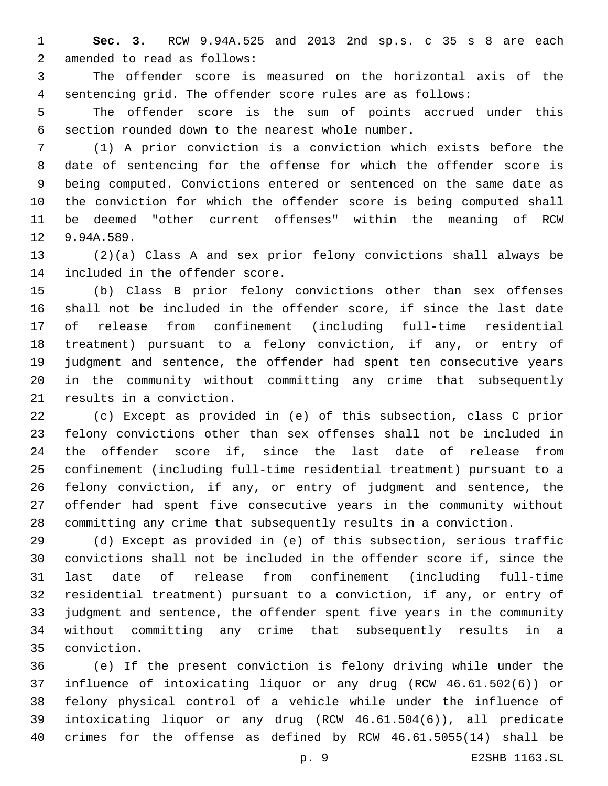**Sec. 3.** RCW 9.94A.525 and 2013 2nd sp.s. c 35 s 8 are each 2 amended to read as follows:

 The offender score is measured on the horizontal axis of the sentencing grid. The offender score rules are as follows:

 The offender score is the sum of points accrued under this section rounded down to the nearest whole number.6

 (1) A prior conviction is a conviction which exists before the date of sentencing for the offense for which the offender score is being computed. Convictions entered or sentenced on the same date as the conviction for which the offender score is being computed shall be deemed "other current offenses" within the meaning of RCW 12 9.94A.589.

 (2)(a) Class A and sex prior felony convictions shall always be 14 included in the offender score.

 (b) Class B prior felony convictions other than sex offenses shall not be included in the offender score, if since the last date of release from confinement (including full-time residential treatment) pursuant to a felony conviction, if any, or entry of judgment and sentence, the offender had spent ten consecutive years in the community without committing any crime that subsequently 21 results in a conviction.

 (c) Except as provided in (e) of this subsection, class C prior felony convictions other than sex offenses shall not be included in the offender score if, since the last date of release from confinement (including full-time residential treatment) pursuant to a felony conviction, if any, or entry of judgment and sentence, the offender had spent five consecutive years in the community without committing any crime that subsequently results in a conviction.

 (d) Except as provided in (e) of this subsection, serious traffic convictions shall not be included in the offender score if, since the last date of release from confinement (including full-time residential treatment) pursuant to a conviction, if any, or entry of judgment and sentence, the offender spent five years in the community without committing any crime that subsequently results in a conviction.35

 (e) If the present conviction is felony driving while under the influence of intoxicating liquor or any drug (RCW 46.61.502(6)) or felony physical control of a vehicle while under the influence of intoxicating liquor or any drug (RCW 46.61.504(6)), all predicate crimes for the offense as defined by RCW 46.61.5055(14) shall be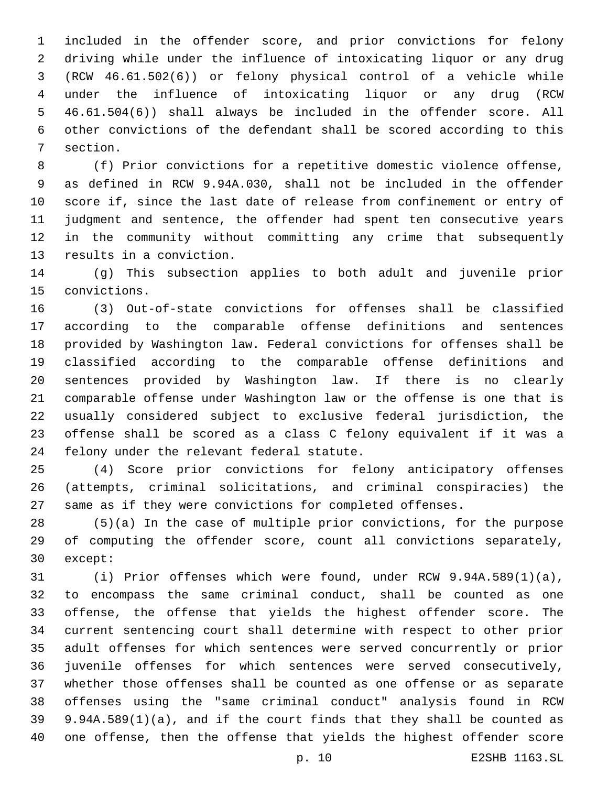included in the offender score, and prior convictions for felony driving while under the influence of intoxicating liquor or any drug (RCW 46.61.502(6)) or felony physical control of a vehicle while under the influence of intoxicating liquor or any drug (RCW 46.61.504(6)) shall always be included in the offender score. All other convictions of the defendant shall be scored according to this 7 section.

 (f) Prior convictions for a repetitive domestic violence offense, as defined in RCW 9.94A.030, shall not be included in the offender score if, since the last date of release from confinement or entry of judgment and sentence, the offender had spent ten consecutive years in the community without committing any crime that subsequently 13 results in a conviction.

 (g) This subsection applies to both adult and juvenile prior convictions.15

 (3) Out-of-state convictions for offenses shall be classified according to the comparable offense definitions and sentences provided by Washington law. Federal convictions for offenses shall be classified according to the comparable offense definitions and sentences provided by Washington law. If there is no clearly comparable offense under Washington law or the offense is one that is usually considered subject to exclusive federal jurisdiction, the offense shall be scored as a class C felony equivalent if it was a 24 felony under the relevant federal statute.

 (4) Score prior convictions for felony anticipatory offenses (attempts, criminal solicitations, and criminal conspiracies) the same as if they were convictions for completed offenses.

 (5)(a) In the case of multiple prior convictions, for the purpose of computing the offender score, count all convictions separately, 30 except:

 (i) Prior offenses which were found, under RCW 9.94A.589(1)(a), to encompass the same criminal conduct, shall be counted as one offense, the offense that yields the highest offender score. The current sentencing court shall determine with respect to other prior adult offenses for which sentences were served concurrently or prior juvenile offenses for which sentences were served consecutively, whether those offenses shall be counted as one offense or as separate offenses using the "same criminal conduct" analysis found in RCW 9.94A.589(1)(a), and if the court finds that they shall be counted as one offense, then the offense that yields the highest offender score

p. 10 E2SHB 1163.SL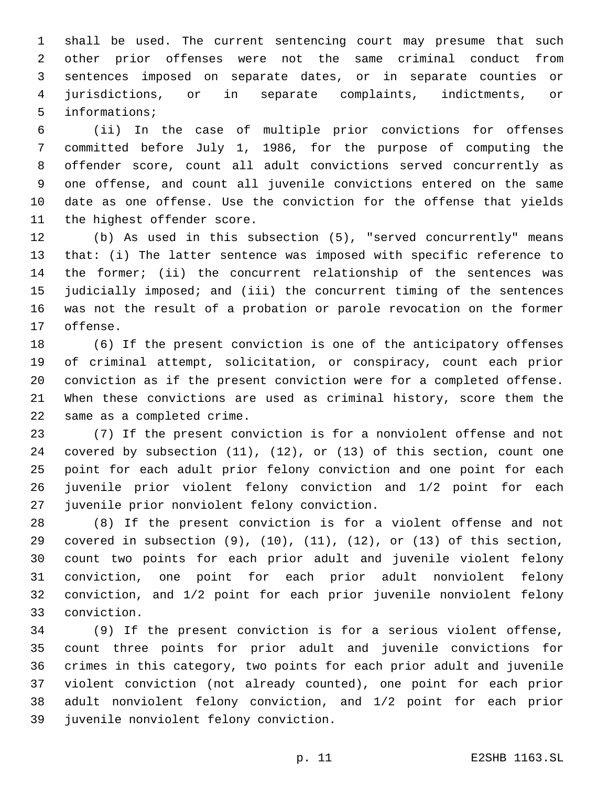shall be used. The current sentencing court may presume that such other prior offenses were not the same criminal conduct from sentences imposed on separate dates, or in separate counties or jurisdictions, or in separate complaints, indictments, or 5 informations;

 (ii) In the case of multiple prior convictions for offenses committed before July 1, 1986, for the purpose of computing the offender score, count all adult convictions served concurrently as one offense, and count all juvenile convictions entered on the same date as one offense. Use the conviction for the offense that yields 11 the highest offender score.

 (b) As used in this subsection (5), "served concurrently" means that: (i) The latter sentence was imposed with specific reference to the former; (ii) the concurrent relationship of the sentences was judicially imposed; and (iii) the concurrent timing of the sentences was not the result of a probation or parole revocation on the former 17 offense.

 (6) If the present conviction is one of the anticipatory offenses of criminal attempt, solicitation, or conspiracy, count each prior conviction as if the present conviction were for a completed offense. When these convictions are used as criminal history, score them the 22 same as a completed crime.

 (7) If the present conviction is for a nonviolent offense and not covered by subsection (11), (12), or (13) of this section, count one point for each adult prior felony conviction and one point for each juvenile prior violent felony conviction and 1/2 point for each 27 juvenile prior nonviolent felony conviction.

 (8) If the present conviction is for a violent offense and not 29 covered in subsection  $(9)$ ,  $(10)$ ,  $(11)$ ,  $(12)$ , or  $(13)$  of this section, count two points for each prior adult and juvenile violent felony conviction, one point for each prior adult nonviolent felony conviction, and 1/2 point for each prior juvenile nonviolent felony conviction.33

 (9) If the present conviction is for a serious violent offense, count three points for prior adult and juvenile convictions for crimes in this category, two points for each prior adult and juvenile violent conviction (not already counted), one point for each prior adult nonviolent felony conviction, and 1/2 point for each prior 39 juvenile nonviolent felony conviction.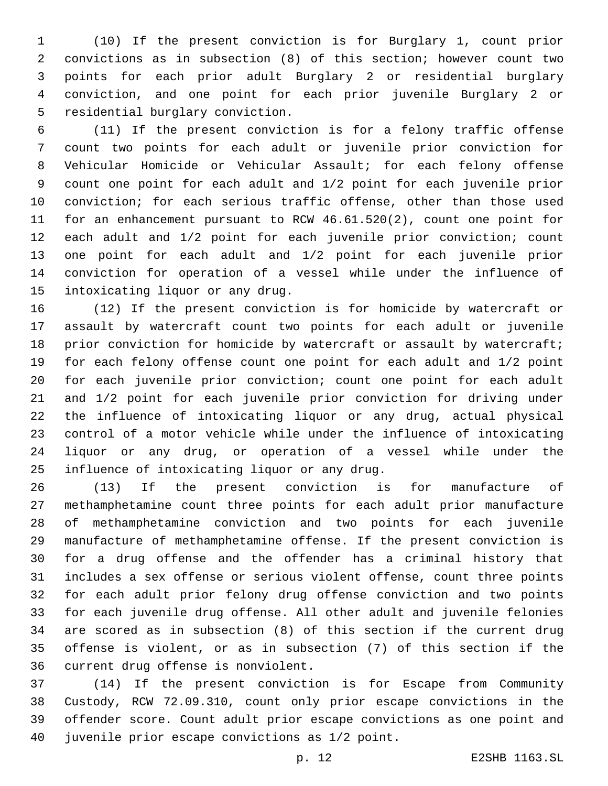(10) If the present conviction is for Burglary 1, count prior convictions as in subsection (8) of this section; however count two points for each prior adult Burglary 2 or residential burglary conviction, and one point for each prior juvenile Burglary 2 or 5 residential burglary conviction.

 (11) If the present conviction is for a felony traffic offense count two points for each adult or juvenile prior conviction for Vehicular Homicide or Vehicular Assault; for each felony offense count one point for each adult and 1/2 point for each juvenile prior conviction; for each serious traffic offense, other than those used for an enhancement pursuant to RCW 46.61.520(2), count one point for each adult and 1/2 point for each juvenile prior conviction; count one point for each adult and 1/2 point for each juvenile prior conviction for operation of a vessel while under the influence of 15 intoxicating liquor or any drug.

 (12) If the present conviction is for homicide by watercraft or assault by watercraft count two points for each adult or juvenile 18 prior conviction for homicide by watercraft or assault by watercraft; for each felony offense count one point for each adult and 1/2 point for each juvenile prior conviction; count one point for each adult and 1/2 point for each juvenile prior conviction for driving under the influence of intoxicating liquor or any drug, actual physical control of a motor vehicle while under the influence of intoxicating liquor or any drug, or operation of a vessel while under the 25 influence of intoxicating liquor or any drug.

 (13) If the present conviction is for manufacture of methamphetamine count three points for each adult prior manufacture of methamphetamine conviction and two points for each juvenile manufacture of methamphetamine offense. If the present conviction is for a drug offense and the offender has a criminal history that includes a sex offense or serious violent offense, count three points for each adult prior felony drug offense conviction and two points for each juvenile drug offense. All other adult and juvenile felonies are scored as in subsection (8) of this section if the current drug offense is violent, or as in subsection (7) of this section if the 36 current drug offense is nonviolent.

 (14) If the present conviction is for Escape from Community Custody, RCW 72.09.310, count only prior escape convictions in the offender score. Count adult prior escape convictions as one point and 40 juvenile prior escape convictions as  $1/2$  point.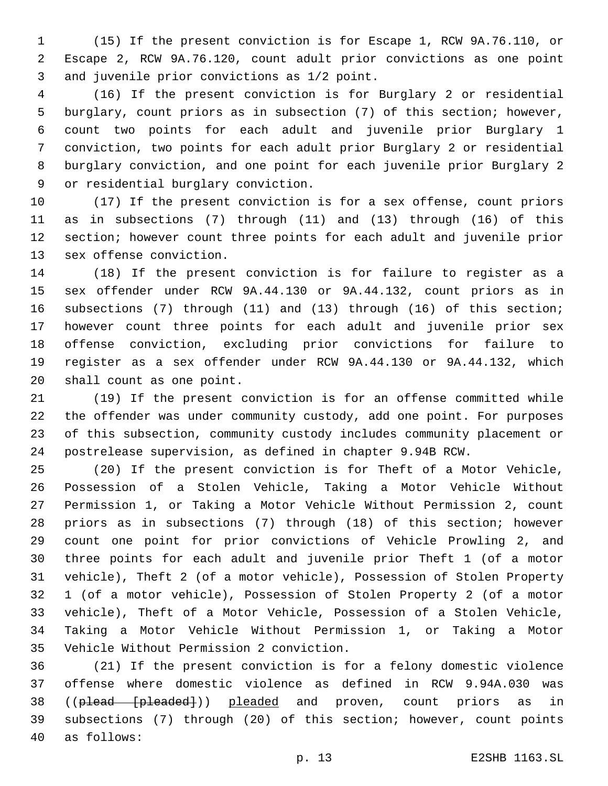(15) If the present conviction is for Escape 1, RCW 9A.76.110, or Escape 2, RCW 9A.76.120, count adult prior convictions as one point 3 and juvenile prior convictions as 1/2 point.

 (16) If the present conviction is for Burglary 2 or residential burglary, count priors as in subsection (7) of this section; however, count two points for each adult and juvenile prior Burglary 1 conviction, two points for each adult prior Burglary 2 or residential burglary conviction, and one point for each juvenile prior Burglary 2 9 or residential burglary conviction.

 (17) If the present conviction is for a sex offense, count priors as in subsections (7) through (11) and (13) through (16) of this section; however count three points for each adult and juvenile prior 13 sex offense conviction.

 (18) If the present conviction is for failure to register as a sex offender under RCW 9A.44.130 or 9A.44.132, count priors as in subsections (7) through (11) and (13) through (16) of this section; however count three points for each adult and juvenile prior sex offense conviction, excluding prior convictions for failure to register as a sex offender under RCW 9A.44.130 or 9A.44.132, which 20 shall count as one point.

 (19) If the present conviction is for an offense committed while the offender was under community custody, add one point. For purposes of this subsection, community custody includes community placement or postrelease supervision, as defined in chapter 9.94B RCW.

 (20) If the present conviction is for Theft of a Motor Vehicle, Possession of a Stolen Vehicle, Taking a Motor Vehicle Without Permission 1, or Taking a Motor Vehicle Without Permission 2, count priors as in subsections (7) through (18) of this section; however count one point for prior convictions of Vehicle Prowling 2, and three points for each adult and juvenile prior Theft 1 (of a motor vehicle), Theft 2 (of a motor vehicle), Possession of Stolen Property 1 (of a motor vehicle), Possession of Stolen Property 2 (of a motor vehicle), Theft of a Motor Vehicle, Possession of a Stolen Vehicle, Taking a Motor Vehicle Without Permission 1, or Taking a Motor 35 Vehicle Without Permission 2 conviction.

 (21) If the present conviction is for a felony domestic violence offense where domestic violence as defined in RCW 9.94A.030 was 38 ((plead [pleaded])) pleaded and proven, count priors as in subsections (7) through (20) of this section; however, count points as follows:40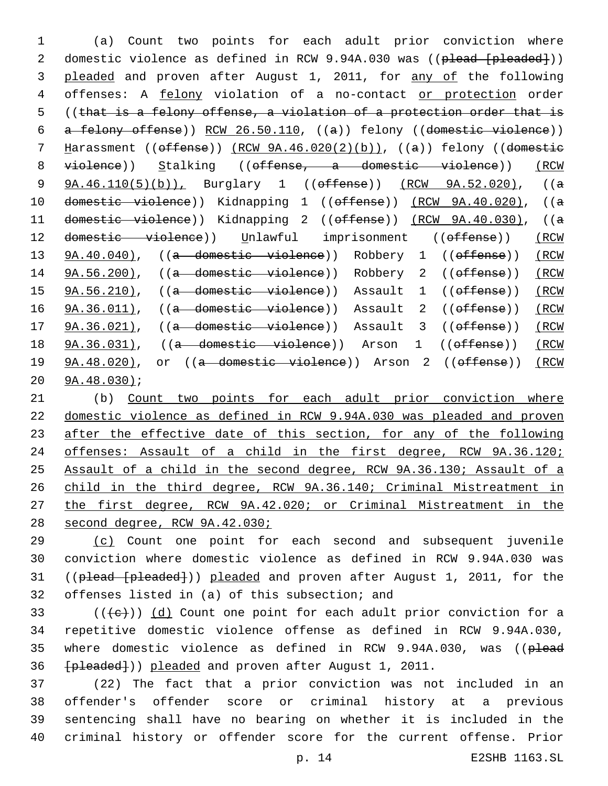1 (a) Count two points for each adult prior conviction where 2 domestic violence as defined in RCW 9.94A.030 was ((plead [pleaded])) 3 pleaded and proven after August 1, 2011, for any of the following 4 offenses: A felony violation of a no-contact or protection order 5 ((that is a felony offense, a violation of a protection order that is 6 a felony offense)) RCW 26.50.110, ((a)) felony ((domestic violence)) 7 Harassment ((offense)) (RCW 9A.46.020(2)(b)), ((a)) felony ((domestic 8 violence)) Stalking ((offense, a domestic violence)) (RCW 9 9A.46.110(5)(b)), Burglary 1 ((offense)) (RCW 9A.52.020), ((a 10 domestic violence)) Kidnapping 1 ((offense)) (RCW 9A.40.020), ((a 11 domestic violence)) Kidnapping 2 ((offense)) (RCW 9A.40.030), ((a 12 domestic violence)) Unlawful imprisonment ((offense)) (RCW 13 9A.40.040), ((a domestic violence)) Robbery 1 ((offense)) (RCW 14 9A.56.200), ((a domestic violence)) Robbery 2 ((offense)) (RCW 15 9A.56.210), ((a domestic violence)) Assault 1 ((offense)) (RCW 16 9A.36.011), ((a domestic violence)) Assault 2 ((offense)) (RCW 17 9A.36.021), ((a domestic violence)) Assault 3 ((offense)) (RCW 18 9A.36.031), ((a domestic violence)) Arson 1 ((offense)) (RCW 19 9A.48.020), or ((a domestic violence)) Arson 2 ((offense)) (RCW 20 9A.48.030);

 (b) Count two points for each adult prior conviction where domestic violence as defined in RCW 9.94A.030 was pleaded and proven after the effective date of this section, for any of the following offenses: Assault of a child in the first degree, RCW 9A.36.120; Assault of a child in the second degree, RCW 9A.36.130; Assault of a child in the third degree, RCW 9A.36.140; Criminal Mistreatment in the first degree, RCW 9A.42.020; or Criminal Mistreatment in the second degree, RCW 9A.42.030;

29 (c) Count one point for each second and subsequent juvenile 30 conviction where domestic violence as defined in RCW 9.94A.030 was 31 ((plead [pleaded])) pleaded and proven after August 1, 2011, for the 32 offenses listed in (a) of this subsection; and

33 ( $(\overline{\{e\}})$ ) (d) Count one point for each adult prior conviction for a 34 repetitive domestic violence offense as defined in RCW 9.94A.030, 35 where domestic violence as defined in RCW 9.94A.030, was ((plead 36 [pleaded])) pleaded and proven after August 1, 2011.

 (22) The fact that a prior conviction was not included in an offender's offender score or criminal history at a previous sentencing shall have no bearing on whether it is included in the criminal history or offender score for the current offense. Prior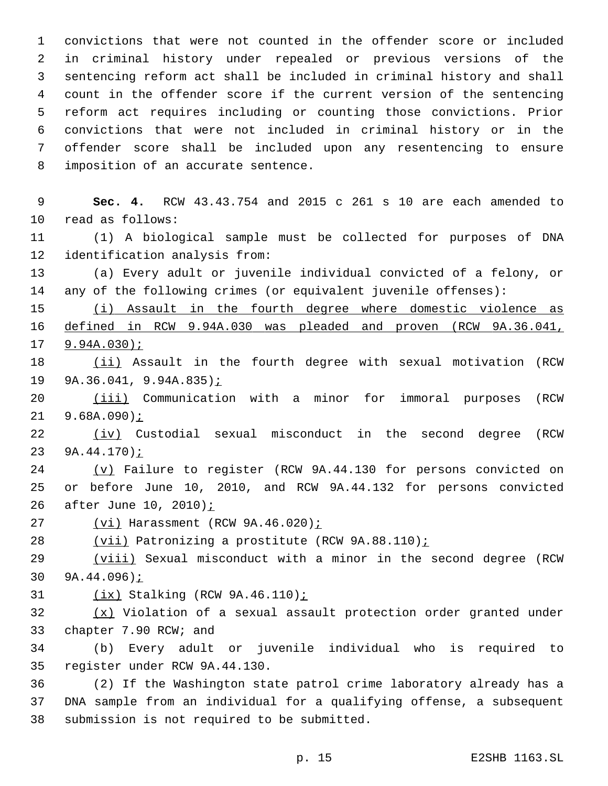convictions that were not counted in the offender score or included in criminal history under repealed or previous versions of the sentencing reform act shall be included in criminal history and shall count in the offender score if the current version of the sentencing reform act requires including or counting those convictions. Prior convictions that were not included in criminal history or in the offender score shall be included upon any resentencing to ensure 8 imposition of an accurate sentence.

| 9  | Sec. 4. RCW 43.43.754 and 2015 c 261 s 10 are each amended to        |
|----|----------------------------------------------------------------------|
| 10 | read as follows:                                                     |
| 11 | (1) A biological sample must be collected for purposes of DNA        |
| 12 | identification analysis from:                                        |
| 13 | (a) Every adult or juvenile individual convicted of a felony, or     |
| 14 | any of the following crimes (or equivalent juvenile offenses):       |
| 15 | (i) Assault in the fourth degree where domestic violence as          |
| 16 | defined in RCW 9.94A.030 was pleaded and proven (RCW 9A.36.041,      |
| 17 | $9.94A.030$ ;                                                        |
| 18 | (ii) Assault in the fourth degree with sexual motivation (RCW        |
| 19 | 9A.36.041, 9.94A.835) <u>;</u>                                       |
| 20 | (iii) Communication with a minor for immoral purposes (RCW           |
| 21 | 9.68A.090);                                                          |
| 22 | (iv) Custodial sexual misconduct in the second degree (RCW           |
| 23 | $9A.44.170$ ;                                                        |
| 24 | (v) Failure to register (RCW 9A.44.130 for persons convicted on      |
| 25 | or before June 10, 2010, and RCW 9A.44.132 for persons convicted     |
| 26 | after June $10, 2010$ ;                                              |
| 27 | $(vi)$ Harassment (RCW 9A.46.020);                                   |
| 28 | (vii) Patronizing a prostitute (RCW 9A.88.110);                      |
| 29 | (viii) Sexual misconduct with a minor in the second degree (RCW      |
| 30 | $9A.44.096$ ;                                                        |
| 31 | $(ix)$ Stalking (RCW 9A.46.110) $i$                                  |
| 32 | (x) Violation of a sexual assault protection order granted under     |
| 33 | chapter 7.90 RCW; and                                                |
| 34 | Every adult or juvenile individual who is required to<br>(b)         |
| 35 | register under RCW 9A.44.130.                                        |
| 36 | (2) If the Washington state patrol crime laboratory already has a    |
| 37 | DNA sample from an individual for a qualifying offense, a subsequent |
| 38 | submission is not required to be submitted.                          |
|    |                                                                      |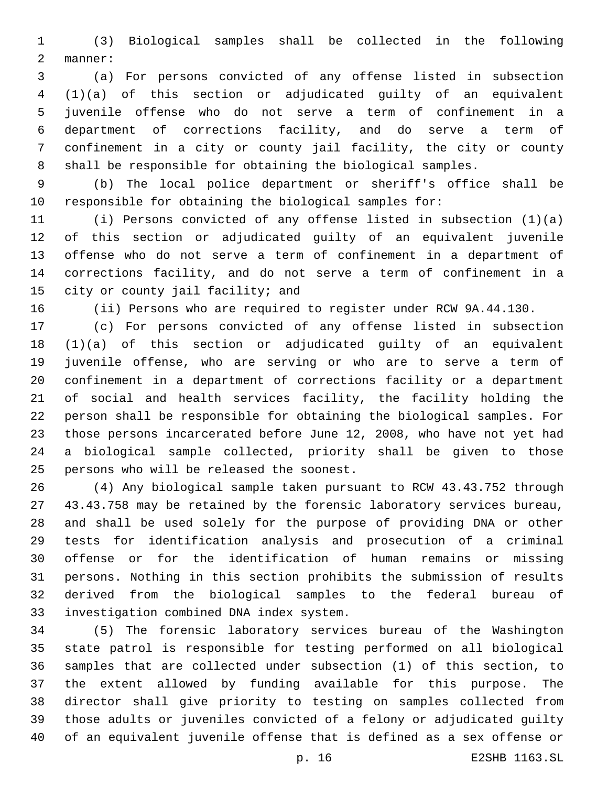(3) Biological samples shall be collected in the following 2 manner:

 (a) For persons convicted of any offense listed in subsection (1)(a) of this section or adjudicated guilty of an equivalent juvenile offense who do not serve a term of confinement in a department of corrections facility, and do serve a term of confinement in a city or county jail facility, the city or county shall be responsible for obtaining the biological samples.

 (b) The local police department or sheriff's office shall be responsible for obtaining the biological samples for:

 (i) Persons convicted of any offense listed in subsection (1)(a) of this section or adjudicated guilty of an equivalent juvenile offense who do not serve a term of confinement in a department of corrections facility, and do not serve a term of confinement in a 15 city or county jail facility; and

(ii) Persons who are required to register under RCW 9A.44.130.

 (c) For persons convicted of any offense listed in subsection (1)(a) of this section or adjudicated guilty of an equivalent juvenile offense, who are serving or who are to serve a term of confinement in a department of corrections facility or a department of social and health services facility, the facility holding the person shall be responsible for obtaining the biological samples. For those persons incarcerated before June 12, 2008, who have not yet had a biological sample collected, priority shall be given to those 25 persons who will be released the soonest.

 (4) Any biological sample taken pursuant to RCW 43.43.752 through 43.43.758 may be retained by the forensic laboratory services bureau, and shall be used solely for the purpose of providing DNA or other tests for identification analysis and prosecution of a criminal offense or for the identification of human remains or missing persons. Nothing in this section prohibits the submission of results derived from the biological samples to the federal bureau of 33 investigation combined DNA index system.

 (5) The forensic laboratory services bureau of the Washington state patrol is responsible for testing performed on all biological samples that are collected under subsection (1) of this section, to the extent allowed by funding available for this purpose. The director shall give priority to testing on samples collected from those adults or juveniles convicted of a felony or adjudicated guilty of an equivalent juvenile offense that is defined as a sex offense or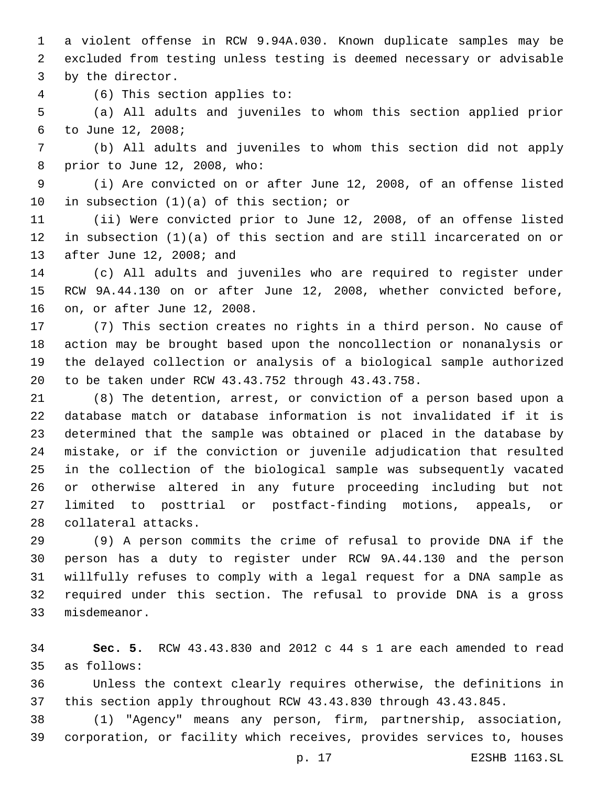a violent offense in RCW 9.94A.030. Known duplicate samples may be excluded from testing unless testing is deemed necessary or advisable 3 by the director.

(6) This section applies to:4

 (a) All adults and juveniles to whom this section applied prior to June 12, 2008;6

 (b) All adults and juveniles to whom this section did not apply 8 prior to June 12, 2008, who:

 (i) Are convicted on or after June 12, 2008, of an offense listed 10 in subsection  $(1)(a)$  of this section; or

 (ii) Were convicted prior to June 12, 2008, of an offense listed in subsection (1)(a) of this section and are still incarcerated on or 13 after June 12, 2008; and

 (c) All adults and juveniles who are required to register under RCW 9A.44.130 on or after June 12, 2008, whether convicted before, 16 on, or after June 12, 2008.

 (7) This section creates no rights in a third person. No cause of action may be brought based upon the noncollection or nonanalysis or the delayed collection or analysis of a biological sample authorized to be taken under RCW 43.43.752 through 43.43.758.

 (8) The detention, arrest, or conviction of a person based upon a database match or database information is not invalidated if it is determined that the sample was obtained or placed in the database by mistake, or if the conviction or juvenile adjudication that resulted in the collection of the biological sample was subsequently vacated or otherwise altered in any future proceeding including but not limited to posttrial or postfact-finding motions, appeals, or 28 collateral attacks.

 (9) A person commits the crime of refusal to provide DNA if the person has a duty to register under RCW 9A.44.130 and the person willfully refuses to comply with a legal request for a DNA sample as required under this section. The refusal to provide DNA is a gross 33 misdemeanor.

 **Sec. 5.** RCW 43.43.830 and 2012 c 44 s 1 are each amended to read as follows:35

 Unless the context clearly requires otherwise, the definitions in this section apply throughout RCW 43.43.830 through 43.43.845.

 (1) "Agency" means any person, firm, partnership, association, corporation, or facility which receives, provides services to, houses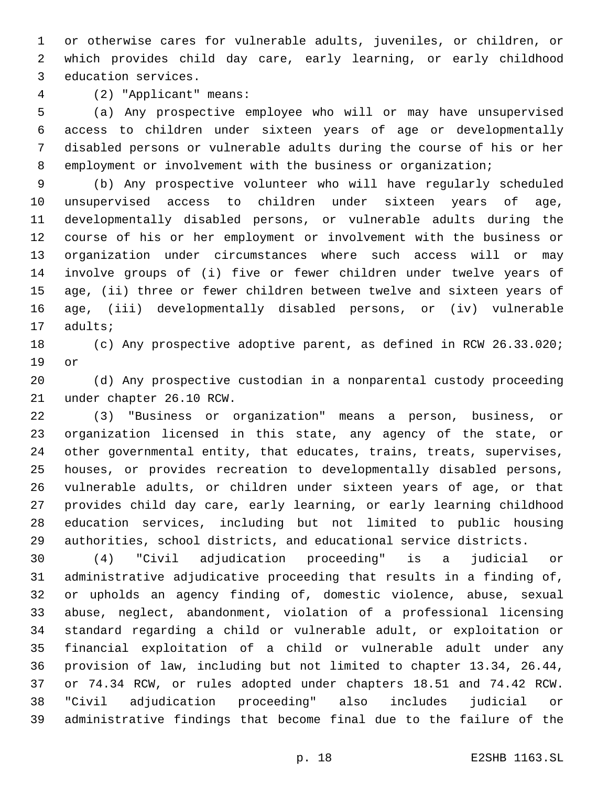or otherwise cares for vulnerable adults, juveniles, or children, or which provides child day care, early learning, or early childhood 3 education services.

(2) "Applicant" means:4

 (a) Any prospective employee who will or may have unsupervised access to children under sixteen years of age or developmentally disabled persons or vulnerable adults during the course of his or her 8 employment or involvement with the business or organization;

 (b) Any prospective volunteer who will have regularly scheduled unsupervised access to children under sixteen years of age, developmentally disabled persons, or vulnerable adults during the course of his or her employment or involvement with the business or organization under circumstances where such access will or may involve groups of (i) five or fewer children under twelve years of age, (ii) three or fewer children between twelve and sixteen years of age, (iii) developmentally disabled persons, or (iv) vulnerable 17 adults;

 (c) Any prospective adoptive parent, as defined in RCW 26.33.020; 19 or

 (d) Any prospective custodian in a nonparental custody proceeding 21 under chapter 26.10 RCW.

 (3) "Business or organization" means a person, business, or organization licensed in this state, any agency of the state, or other governmental entity, that educates, trains, treats, supervises, houses, or provides recreation to developmentally disabled persons, vulnerable adults, or children under sixteen years of age, or that provides child day care, early learning, or early learning childhood education services, including but not limited to public housing authorities, school districts, and educational service districts.

 (4) "Civil adjudication proceeding" is a judicial or administrative adjudicative proceeding that results in a finding of, or upholds an agency finding of, domestic violence, abuse, sexual abuse, neglect, abandonment, violation of a professional licensing standard regarding a child or vulnerable adult, or exploitation or financial exploitation of a child or vulnerable adult under any provision of law, including but not limited to chapter 13.34, 26.44, or 74.34 RCW, or rules adopted under chapters 18.51 and 74.42 RCW. "Civil adjudication proceeding" also includes judicial or administrative findings that become final due to the failure of the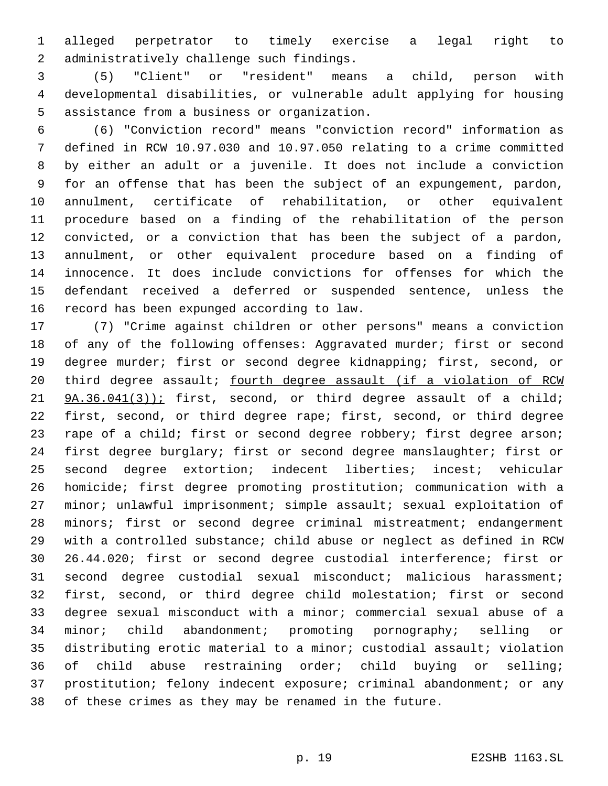alleged perpetrator to timely exercise a legal right to 2 administratively challenge such findings.

 (5) "Client" or "resident" means a child, person with developmental disabilities, or vulnerable adult applying for housing 5 assistance from a business or organization.

 (6) "Conviction record" means "conviction record" information as defined in RCW 10.97.030 and 10.97.050 relating to a crime committed by either an adult or a juvenile. It does not include a conviction for an offense that has been the subject of an expungement, pardon, annulment, certificate of rehabilitation, or other equivalent procedure based on a finding of the rehabilitation of the person convicted, or a conviction that has been the subject of a pardon, annulment, or other equivalent procedure based on a finding of innocence. It does include convictions for offenses for which the defendant received a deferred or suspended sentence, unless the 16 record has been expunged according to law.

 (7) "Crime against children or other persons" means a conviction of any of the following offenses: Aggravated murder; first or second degree murder; first or second degree kidnapping; first, second, or 20 third degree assault; fourth degree assault (if a violation of RCW 21 9A.36.041(3)); first, second, or third degree assault of a child; first, second, or third degree rape; first, second, or third degree 23 rape of a child; first or second degree robbery; first degree arson; first degree burglary; first or second degree manslaughter; first or second degree extortion; indecent liberties; incest; vehicular homicide; first degree promoting prostitution; communication with a minor; unlawful imprisonment; simple assault; sexual exploitation of minors; first or second degree criminal mistreatment; endangerment with a controlled substance; child abuse or neglect as defined in RCW 26.44.020; first or second degree custodial interference; first or second degree custodial sexual misconduct; malicious harassment; first, second, or third degree child molestation; first or second degree sexual misconduct with a minor; commercial sexual abuse of a minor; child abandonment; promoting pornography; selling or distributing erotic material to a minor; custodial assault; violation of child abuse restraining order; child buying or selling; prostitution; felony indecent exposure; criminal abandonment; or any of these crimes as they may be renamed in the future.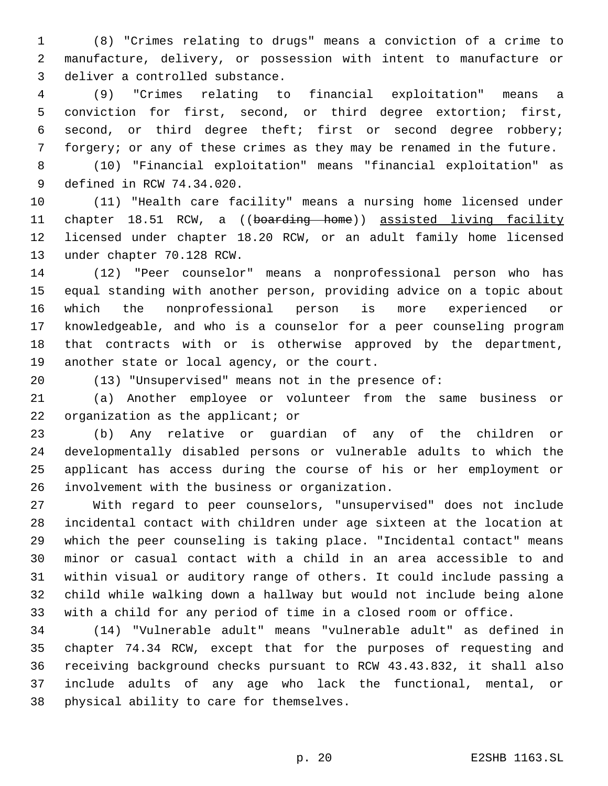(8) "Crimes relating to drugs" means a conviction of a crime to manufacture, delivery, or possession with intent to manufacture or 3 deliver a controlled substance.

 (9) "Crimes relating to financial exploitation" means a conviction for first, second, or third degree extortion; first, second, or third degree theft; first or second degree robbery; forgery; or any of these crimes as they may be renamed in the future.

 (10) "Financial exploitation" means "financial exploitation" as 9 defined in RCW 74.34.020.

 (11) "Health care facility" means a nursing home licensed under 11 chapter 18.51 RCW, a ((boarding home)) assisted living facility licensed under chapter 18.20 RCW, or an adult family home licensed 13 under chapter 70.128 RCW.

 (12) "Peer counselor" means a nonprofessional person who has equal standing with another person, providing advice on a topic about which the nonprofessional person is more experienced or knowledgeable, and who is a counselor for a peer counseling program that contracts with or is otherwise approved by the department, 19 another state or local agency, or the court.

(13) "Unsupervised" means not in the presence of:

 (a) Another employee or volunteer from the same business or 22 organization as the applicant; or

 (b) Any relative or guardian of any of the children or developmentally disabled persons or vulnerable adults to which the applicant has access during the course of his or her employment or involvement with the business or organization.26

 With regard to peer counselors, "unsupervised" does not include incidental contact with children under age sixteen at the location at which the peer counseling is taking place. "Incidental contact" means minor or casual contact with a child in an area accessible to and within visual or auditory range of others. It could include passing a child while walking down a hallway but would not include being alone with a child for any period of time in a closed room or office.

 (14) "Vulnerable adult" means "vulnerable adult" as defined in chapter 74.34 RCW, except that for the purposes of requesting and receiving background checks pursuant to RCW 43.43.832, it shall also include adults of any age who lack the functional, mental, or 38 physical ability to care for themselves.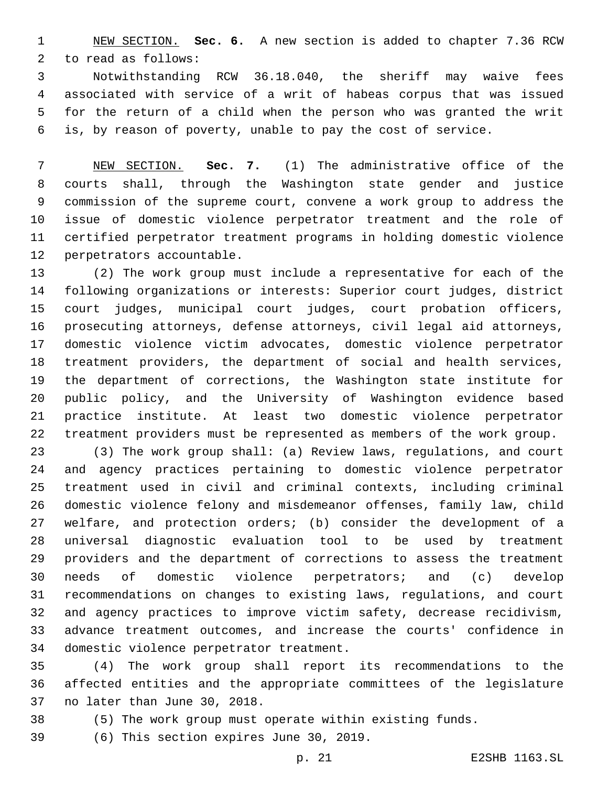NEW SECTION. **Sec. 6.** A new section is added to chapter 7.36 RCW 2 to read as follows:

 Notwithstanding RCW 36.18.040, the sheriff may waive fees associated with service of a writ of habeas corpus that was issued for the return of a child when the person who was granted the writ is, by reason of poverty, unable to pay the cost of service.

 NEW SECTION. **Sec. 7.** (1) The administrative office of the courts shall, through the Washington state gender and justice commission of the supreme court, convene a work group to address the issue of domestic violence perpetrator treatment and the role of certified perpetrator treatment programs in holding domestic violence perpetrators accountable.

 (2) The work group must include a representative for each of the following organizations or interests: Superior court judges, district court judges, municipal court judges, court probation officers, prosecuting attorneys, defense attorneys, civil legal aid attorneys, domestic violence victim advocates, domestic violence perpetrator treatment providers, the department of social and health services, the department of corrections, the Washington state institute for public policy, and the University of Washington evidence based practice institute. At least two domestic violence perpetrator treatment providers must be represented as members of the work group.

 (3) The work group shall: (a) Review laws, regulations, and court and agency practices pertaining to domestic violence perpetrator treatment used in civil and criminal contexts, including criminal domestic violence felony and misdemeanor offenses, family law, child welfare, and protection orders; (b) consider the development of a universal diagnostic evaluation tool to be used by treatment providers and the department of corrections to assess the treatment needs of domestic violence perpetrators; and (c) develop recommendations on changes to existing laws, regulations, and court and agency practices to improve victim safety, decrease recidivism, advance treatment outcomes, and increase the courts' confidence in 34 domestic violence perpetrator treatment.

 (4) The work group shall report its recommendations to the affected entities and the appropriate committees of the legislature 37 no later than June 30, 2018.

(5) The work group must operate within existing funds.

39 (6) This section expires June 30, 2019.

p. 21 E2SHB 1163.SL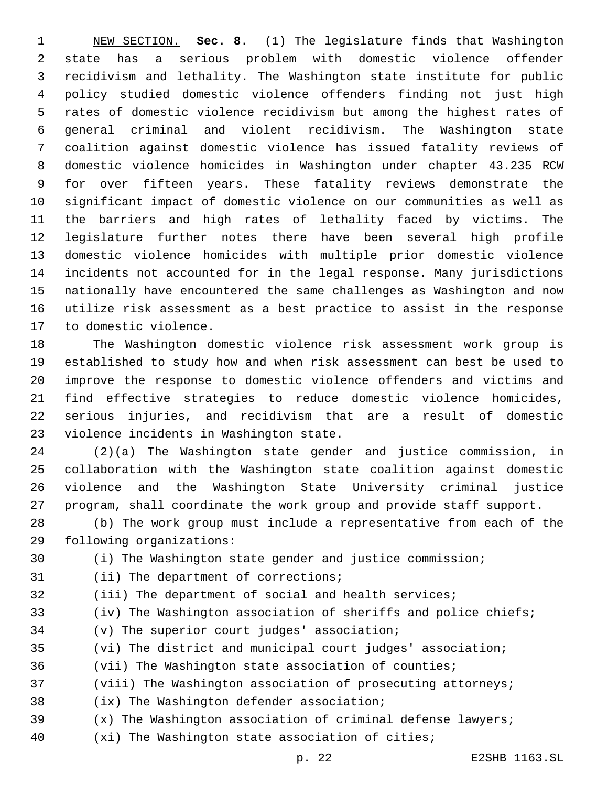NEW SECTION. **Sec. 8.** (1) The legislature finds that Washington state has a serious problem with domestic violence offender recidivism and lethality. The Washington state institute for public policy studied domestic violence offenders finding not just high rates of domestic violence recidivism but among the highest rates of general criminal and violent recidivism. The Washington state coalition against domestic violence has issued fatality reviews of domestic violence homicides in Washington under chapter 43.235 RCW for over fifteen years. These fatality reviews demonstrate the significant impact of domestic violence on our communities as well as the barriers and high rates of lethality faced by victims. The legislature further notes there have been several high profile domestic violence homicides with multiple prior domestic violence incidents not accounted for in the legal response. Many jurisdictions nationally have encountered the same challenges as Washington and now utilize risk assessment as a best practice to assist in the response to domestic violence.

 The Washington domestic violence risk assessment work group is established to study how and when risk assessment can best be used to improve the response to domestic violence offenders and victims and find effective strategies to reduce domestic violence homicides, serious injuries, and recidivism that are a result of domestic 23 violence incidents in Washington state.

 (2)(a) The Washington state gender and justice commission, in collaboration with the Washington state coalition against domestic violence and the Washington State University criminal justice program, shall coordinate the work group and provide staff support.

 (b) The work group must include a representative from each of the 29 following organizations:

(i) The Washington state gender and justice commission;

- 31 (ii) The department of corrections;
- 
- (iii) The department of social and health services;
- (iv) The Washington association of sheriffs and police chiefs;
- 34 (v) The superior court judges' association;

(vi) The district and municipal court judges' association;

(vii) The Washington state association of counties;

- (viii) The Washington association of prosecuting attorneys;
- 38 (ix) The Washington defender association;
- (x) The Washington association of criminal defense lawyers;
- (xi) The Washington state association of cities;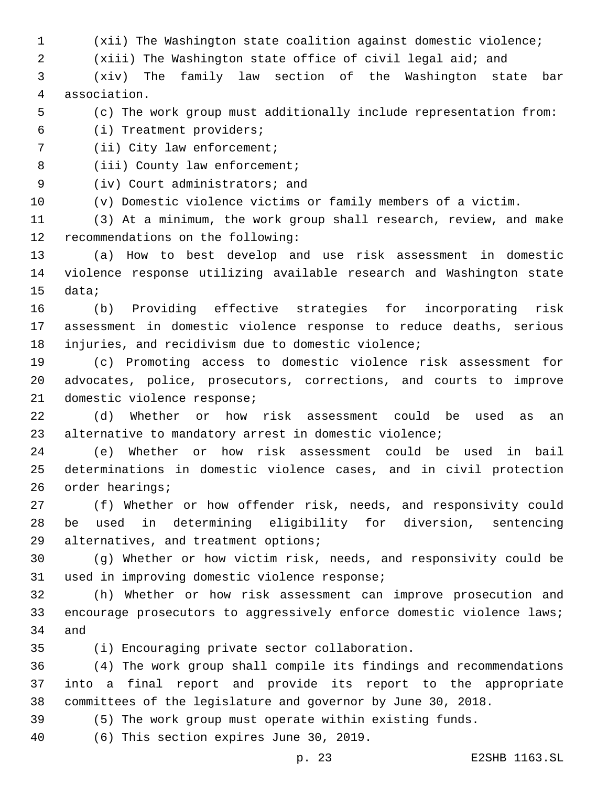(xii) The Washington state coalition against domestic violence;

(xiii) The Washington state office of civil legal aid; and

 (xiv) The family law section of the Washington state bar association.4

(c) The work group must additionally include representation from:

(i) Treatment providers;6

7 (ii) City law enforcement;

8 (iii) County law enforcement;

9 (iv) Court administrators; and

(v) Domestic violence victims or family members of a victim.

 (3) At a minimum, the work group shall research, review, and make 12 recommendations on the following:

 (a) How to best develop and use risk assessment in domestic violence response utilizing available research and Washington state 15 data;

 (b) Providing effective strategies for incorporating risk assessment in domestic violence response to reduce deaths, serious injuries, and recidivism due to domestic violence;

 (c) Promoting access to domestic violence risk assessment for advocates, police, prosecutors, corrections, and courts to improve 21 domestic violence response;

 (d) Whether or how risk assessment could be used as an 23 alternative to mandatory arrest in domestic violence;

 (e) Whether or how risk assessment could be used in bail determinations in domestic violence cases, and in civil protection 26 order hearings;

 (f) Whether or how offender risk, needs, and responsivity could be used in determining eligibility for diversion, sentencing 29 alternatives, and treatment options;

 (g) Whether or how victim risk, needs, and responsivity could be 31 used in improving domestic violence response;

 (h) Whether or how risk assessment can improve prosecution and encourage prosecutors to aggressively enforce domestic violence laws; 34 and

(i) Encouraging private sector collaboration.35

 (4) The work group shall compile its findings and recommendations into a final report and provide its report to the appropriate committees of the legislature and governor by June 30, 2018.

(5) The work group must operate within existing funds.

40 (6) This section expires June 30, 2019.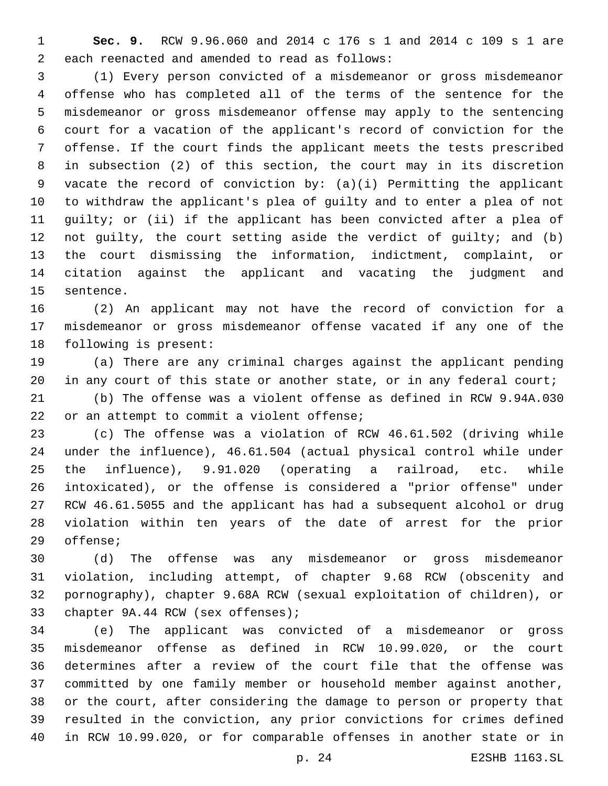**Sec. 9.** RCW 9.96.060 and 2014 c 176 s 1 and 2014 c 109 s 1 are 2 each reenacted and amended to read as follows:

 (1) Every person convicted of a misdemeanor or gross misdemeanor offense who has completed all of the terms of the sentence for the misdemeanor or gross misdemeanor offense may apply to the sentencing court for a vacation of the applicant's record of conviction for the offense. If the court finds the applicant meets the tests prescribed in subsection (2) of this section, the court may in its discretion vacate the record of conviction by: (a)(i) Permitting the applicant to withdraw the applicant's plea of guilty and to enter a plea of not guilty; or (ii) if the applicant has been convicted after a plea of not guilty, the court setting aside the verdict of guilty; and (b) the court dismissing the information, indictment, complaint, or citation against the applicant and vacating the judgment and 15 sentence.

 (2) An applicant may not have the record of conviction for a misdemeanor or gross misdemeanor offense vacated if any one of the 18 following is present:

 (a) There are any criminal charges against the applicant pending 20 in any court of this state or another state, or in any federal court;

 (b) The offense was a violent offense as defined in RCW 9.94A.030 22 or an attempt to commit a violent offense;

 (c) The offense was a violation of RCW 46.61.502 (driving while under the influence), 46.61.504 (actual physical control while under the influence), 9.91.020 (operating a railroad, etc. while intoxicated), or the offense is considered a "prior offense" under RCW 46.61.5055 and the applicant has had a subsequent alcohol or drug violation within ten years of the date of arrest for the prior 29 offense;

 (d) The offense was any misdemeanor or gross misdemeanor violation, including attempt, of chapter 9.68 RCW (obscenity and pornography), chapter 9.68A RCW (sexual exploitation of children), or 33 chapter 9A.44 RCW (sex offenses);

 (e) The applicant was convicted of a misdemeanor or gross misdemeanor offense as defined in RCW 10.99.020, or the court determines after a review of the court file that the offense was committed by one family member or household member against another, or the court, after considering the damage to person or property that resulted in the conviction, any prior convictions for crimes defined in RCW 10.99.020, or for comparable offenses in another state or in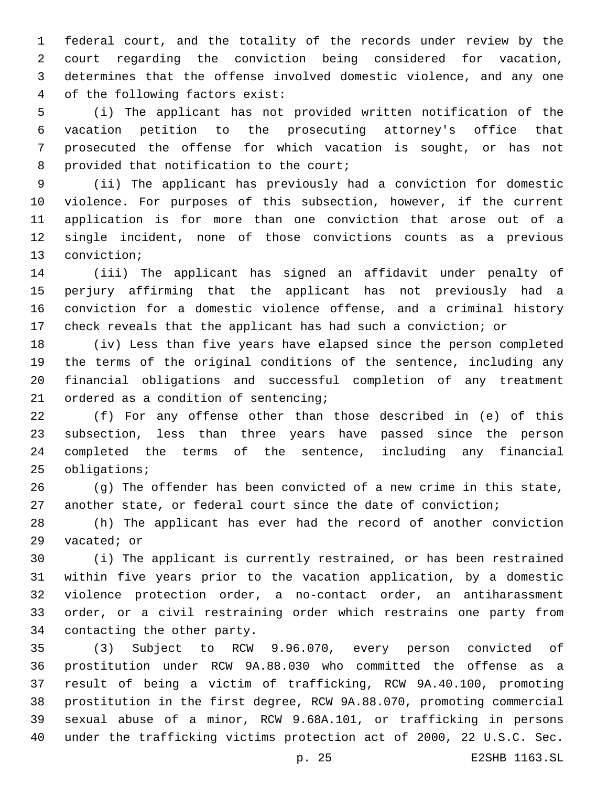federal court, and the totality of the records under review by the court regarding the conviction being considered for vacation, determines that the offense involved domestic violence, and any one 4 of the following factors exist:

 (i) The applicant has not provided written notification of the vacation petition to the prosecuting attorney's office that prosecuted the offense for which vacation is sought, or has not 8 provided that notification to the court;

 (ii) The applicant has previously had a conviction for domestic violence. For purposes of this subsection, however, if the current application is for more than one conviction that arose out of a single incident, none of those convictions counts as a previous 13 conviction;

 (iii) The applicant has signed an affidavit under penalty of perjury affirming that the applicant has not previously had a conviction for a domestic violence offense, and a criminal history check reveals that the applicant has had such a conviction; or

 (iv) Less than five years have elapsed since the person completed the terms of the original conditions of the sentence, including any financial obligations and successful completion of any treatment 21 ordered as a condition of sentencing;

 (f) For any offense other than those described in (e) of this subsection, less than three years have passed since the person completed the terms of the sentence, including any financial 25 obligations;

 (g) The offender has been convicted of a new crime in this state, another state, or federal court since the date of conviction;

 (h) The applicant has ever had the record of another conviction 29 vacated; or

 (i) The applicant is currently restrained, or has been restrained within five years prior to the vacation application, by a domestic violence protection order, a no-contact order, an antiharassment order, or a civil restraining order which restrains one party from 34 contacting the other party.

 (3) Subject to RCW 9.96.070, every person convicted of prostitution under RCW 9A.88.030 who committed the offense as a result of being a victim of trafficking, RCW 9A.40.100, promoting prostitution in the first degree, RCW 9A.88.070, promoting commercial sexual abuse of a minor, RCW 9.68A.101, or trafficking in persons under the trafficking victims protection act of 2000, 22 U.S.C. Sec.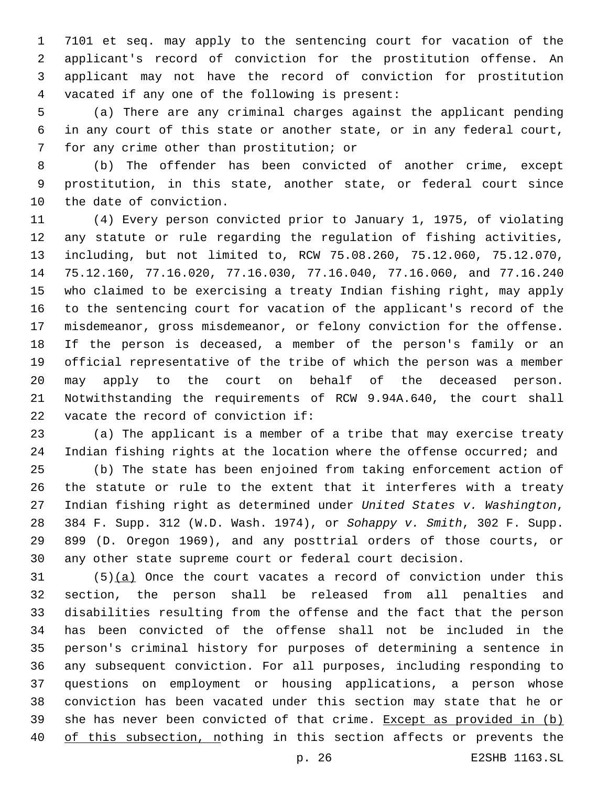7101 et seq. may apply to the sentencing court for vacation of the applicant's record of conviction for the prostitution offense. An applicant may not have the record of conviction for prostitution vacated if any one of the following is present:4

 (a) There are any criminal charges against the applicant pending in any court of this state or another state, or in any federal court, 7 for any crime other than prostitution; or

 (b) The offender has been convicted of another crime, except prostitution, in this state, another state, or federal court since 10 the date of conviction.

 (4) Every person convicted prior to January 1, 1975, of violating any statute or rule regarding the regulation of fishing activities, including, but not limited to, RCW 75.08.260, 75.12.060, 75.12.070, 75.12.160, 77.16.020, 77.16.030, 77.16.040, 77.16.060, and 77.16.240 who claimed to be exercising a treaty Indian fishing right, may apply to the sentencing court for vacation of the applicant's record of the misdemeanor, gross misdemeanor, or felony conviction for the offense. If the person is deceased, a member of the person's family or an official representative of the tribe of which the person was a member may apply to the court on behalf of the deceased person. Notwithstanding the requirements of RCW 9.94A.640, the court shall 22 vacate the record of conviction if:

 (a) The applicant is a member of a tribe that may exercise treaty Indian fishing rights at the location where the offense occurred; and

 (b) The state has been enjoined from taking enforcement action of the statute or rule to the extent that it interferes with a treaty Indian fishing right as determined under *United States v. Washington*, 384 F. Supp. 312 (W.D. Wash. 1974), or *Sohappy v. Smith*, 302 F. Supp. 899 (D. Oregon 1969), and any posttrial orders of those courts, or any other state supreme court or federal court decision.

 (5)(a) Once the court vacates a record of conviction under this section, the person shall be released from all penalties and disabilities resulting from the offense and the fact that the person has been convicted of the offense shall not be included in the person's criminal history for purposes of determining a sentence in any subsequent conviction. For all purposes, including responding to questions on employment or housing applications, a person whose conviction has been vacated under this section may state that he or 39 she has never been convicted of that crime. Except as provided in (b) of this subsection, nothing in this section affects or prevents the

p. 26 E2SHB 1163.SL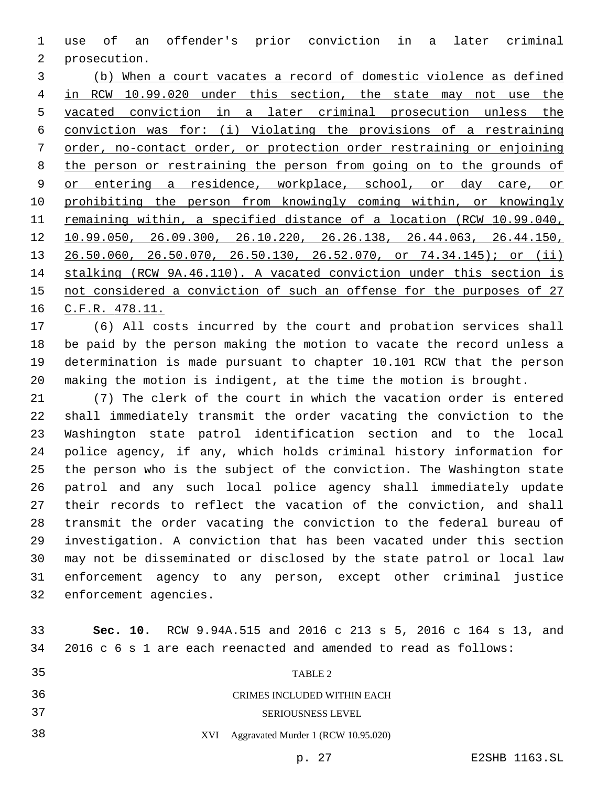use of an offender's prior conviction in a later criminal 2 prosecution.

 (b) When a court vacates a record of domestic violence as defined in RCW 10.99.020 under this section, the state may not use the vacated conviction in a later criminal prosecution unless the conviction was for: (i) Violating the provisions of a restraining order, no-contact order, or protection order restraining or enjoining the person or restraining the person from going on to the grounds of 9 or entering a residence, workplace, school, or day care, or prohibiting the person from knowingly coming within, or knowingly remaining within, a specified distance of a location (RCW 10.99.040, 10.99.050, 26.09.300, 26.10.220, 26.26.138, 26.44.063, 26.44.150, 26.50.060, 26.50.070, 26.50.130, 26.52.070, or 74.34.145); or (ii) stalking (RCW 9A.46.110). A vacated conviction under this section is not considered a conviction of such an offense for the purposes of 27 C.F.R. 478.11.

 (6) All costs incurred by the court and probation services shall be paid by the person making the motion to vacate the record unless a determination is made pursuant to chapter 10.101 RCW that the person making the motion is indigent, at the time the motion is brought.

 (7) The clerk of the court in which the vacation order is entered shall immediately transmit the order vacating the conviction to the Washington state patrol identification section and to the local police agency, if any, which holds criminal history information for the person who is the subject of the conviction. The Washington state patrol and any such local police agency shall immediately update their records to reflect the vacation of the conviction, and shall transmit the order vacating the conviction to the federal bureau of investigation. A conviction that has been vacated under this section may not be disseminated or disclosed by the state patrol or local law enforcement agency to any person, except other criminal justice 32 enforcement agencies.

| 33 |                             |  | <b>Sec. 10.</b> RCW 9.94A.515 and 2016 c 213 s 5, 2016 c 164 s 13, and |  |
|----|-----------------------------|--|------------------------------------------------------------------------|--|
| 34 |                             |  | 2016 c 6 s 1 are each reenacted and amended to read as follows:        |  |
| 35 |                             |  | TABLE 2                                                                |  |
| 36 | CRIMES INCLUDED WITHIN EACH |  |                                                                        |  |
| 37 |                             |  | <b>SERIOUSNESS LEVEL</b>                                               |  |
| 38 |                             |  | XVI Aggravated Murder 1 (RCW 10.95.020)                                |  |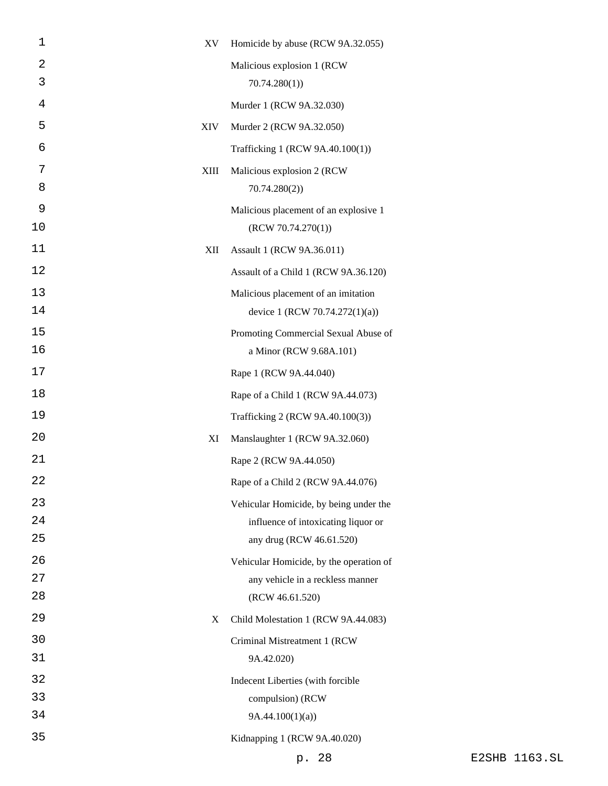| XV   | Homicide by abuse (RCW 9A.32.055)          |
|------|--------------------------------------------|
|      | Malicious explosion 1 (RCW                 |
|      | 70.74.280(1)                               |
|      | Murder 1 (RCW 9A.32.030)                   |
| XIV  | Murder 2 (RCW 9A.32.050)                   |
|      | Trafficking 1 (RCW 9A.40.100(1))           |
| XIII | Malicious explosion 2 (RCW                 |
|      | 70.74.280(2)                               |
|      | Malicious placement of an explosive 1      |
|      | (RCW 70.74.270(1))                         |
| XII  | Assault 1 (RCW 9A.36.011)                  |
|      | Assault of a Child 1 (RCW 9A.36.120)       |
|      | Malicious placement of an imitation        |
|      | device 1 (RCW 70.74.272(1)(a))             |
|      | Promoting Commercial Sexual Abuse of       |
|      | a Minor (RCW 9.68A.101)                    |
|      | Rape 1 (RCW 9A.44.040)                     |
|      | Rape of a Child 1 (RCW 9A.44.073)          |
|      | Trafficking 2 (RCW 9A.40.100(3))           |
| XI   | Manslaughter 1 (RCW 9A.32.060)             |
|      | Rape 2 (RCW 9A.44.050)                     |
|      | Rape of a Child 2 (RCW 9A.44.076)          |
|      | Vehicular Homicide, by being under the     |
|      | influence of intoxicating liquor or        |
|      | any drug (RCW 46.61.520)                   |
|      | Vehicular Homicide, by the operation of    |
|      | any vehicle in a reckless manner           |
|      | (RCW 46.61.520)                            |
|      | Child Molestation 1 (RCW 9A.44.083)        |
|      | Criminal Mistreatment 1 (RCW<br>9A.42.020) |
|      | Indecent Liberties (with forcible          |
|      | compulsion) (RCW                           |
|      | 9A.44.100(1)(a)                            |
|      | Kidnapping 1 (RCW 9A.40.020)               |
|      | X                                          |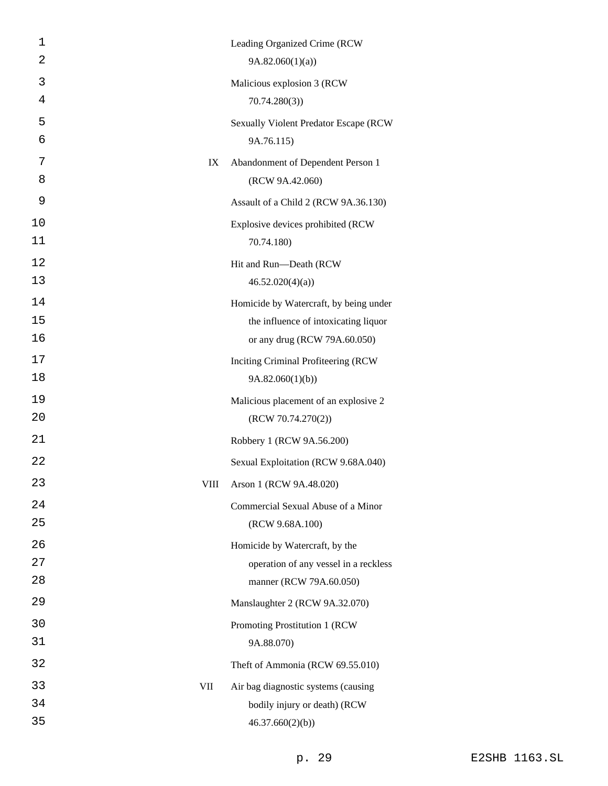| 1<br>2 |      | Leading Organized Crime (RCW                 |
|--------|------|----------------------------------------------|
|        |      | 9A.82.060(1)(a)                              |
| 3      |      | Malicious explosion 3 (RCW                   |
| 4      |      | 70.74.280(3)                                 |
| 5      |      | <b>Sexually Violent Predator Escape (RCW</b> |
| 6      |      | 9A.76.115)                                   |
| 7      | IX   | Abandonment of Dependent Person 1            |
| 8      |      | (RCW 9A.42.060)                              |
| 9      |      | Assault of a Child 2 (RCW 9A.36.130)         |
| 10     |      | Explosive devices prohibited (RCW            |
| 11     |      | 70.74.180)                                   |
| 12     |      | Hit and Run-Death (RCW                       |
| 13     |      | 46.52.020(4)(a)                              |
| 14     |      | Homicide by Watercraft, by being under       |
| 15     |      | the influence of intoxicating liquor         |
| 16     |      | or any drug (RCW 79A.60.050)                 |
| 17     |      | Inciting Criminal Profiteering (RCW          |
| 18     |      | 9A.82.060(1)(b)                              |
| 19     |      | Malicious placement of an explosive 2        |
| 20     |      | (RCW 70.74.270(2))                           |
| 21     |      | Robbery 1 (RCW 9A.56.200)                    |
| 22     |      | Sexual Exploitation (RCW 9.68A.040)          |
| 23     | VIII | Arson 1 (RCW 9A.48.020)                      |
| 24     |      | Commercial Sexual Abuse of a Minor           |
| 25     |      | (RCW 9.68A.100)                              |
| 26     |      | Homicide by Watercraft, by the               |
| 27     |      | operation of any vessel in a reckless        |
| 28     |      | manner (RCW 79A.60.050)                      |
| 29     |      | Manslaughter 2 (RCW 9A.32.070)               |
| 30     |      | Promoting Prostitution 1 (RCW                |
| 31     |      | 9A.88.070)                                   |
| 32     |      | Theft of Ammonia (RCW 69.55.010)             |
| 33     | VII  | Air bag diagnostic systems (causing          |
| 34     |      | bodily injury or death) (RCW                 |
| 35     |      | 46.37.660(2)(b)                              |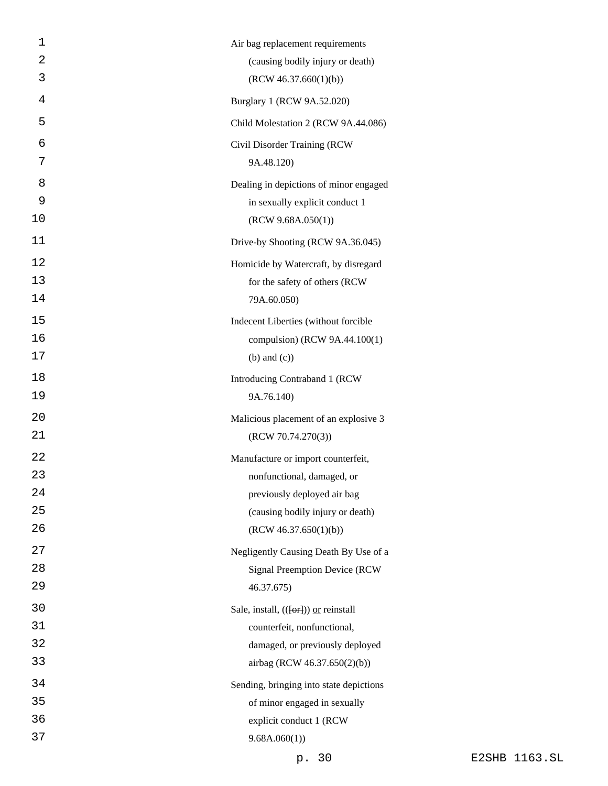| 1  | Air bag replacement requirements        |
|----|-----------------------------------------|
| 2  | (causing bodily injury or death)        |
| 3  | (RCW 46.37.660(1)(b))                   |
| 4  | Burglary 1 (RCW 9A.52.020)              |
| 5  | Child Molestation 2 (RCW 9A.44.086)     |
| 6  | Civil Disorder Training (RCW            |
| 7  | 9A.48.120)                              |
| 8  | Dealing in depictions of minor engaged  |
| 9  | in sexually explicit conduct 1          |
| 10 | (RCW 9.68A.050(1))                      |
| 11 | Drive-by Shooting (RCW 9A.36.045)       |
| 12 | Homicide by Watercraft, by disregard    |
| 13 | for the safety of others (RCW           |
| 14 | 79A.60.050)                             |
| 15 | Indecent Liberties (without forcible    |
| 16 | compulsion) (RCW 9A.44.100(1)           |
| 17 | $(b)$ and $(c)$ )                       |
| 18 | Introducing Contraband 1 (RCW           |
| 19 | 9A.76.140)                              |
| 20 | Malicious placement of an explosive 3   |
| 21 | (RCW 70.74.270(3))                      |
| 22 | Manufacture or import counterfeit,      |
| 23 | nonfunctional, damaged, or              |
| 24 | previously deployed air bag             |
| 25 | (causing bodily injury or death)        |
| 26 | (RCW 46.37.650(1)(b))                   |
| 27 | Negligently Causing Death By Use of a   |
| 28 | <b>Signal Preemption Device (RCW)</b>   |
| 29 | 46.37.675)                              |
| 30 | Sale, install, (({or})) or reinstall    |
| 31 | counterfeit, nonfunctional,             |
| 32 | damaged, or previously deployed         |
| 33 | airbag (RCW 46.37.650(2)(b))            |
| 34 | Sending, bringing into state depictions |
| 35 | of minor engaged in sexually            |
| 36 | explicit conduct 1 (RCW                 |
| 37 | 9.68A.060(1)                            |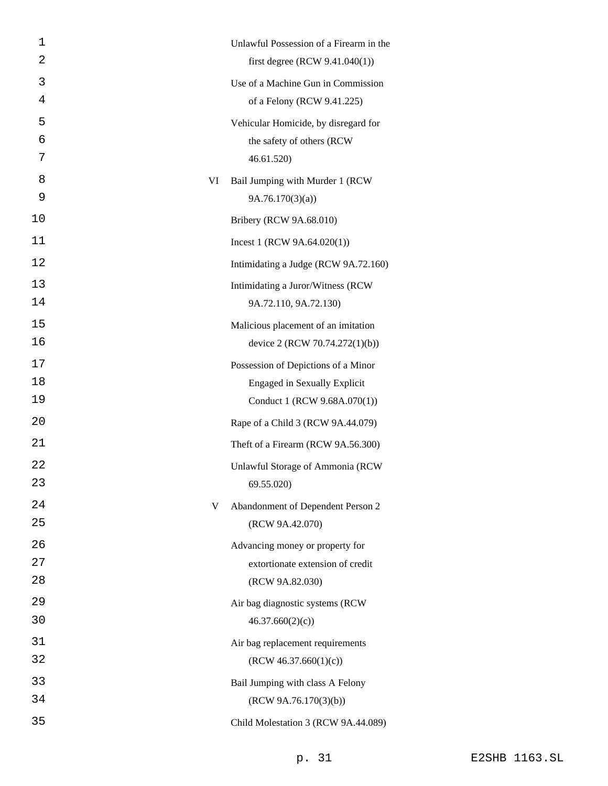| 1<br>2 |    | Unlawful Possession of a Firearm in the<br>first degree (RCW $9.41.040(1)$ ) |
|--------|----|------------------------------------------------------------------------------|
| 3      |    |                                                                              |
| 4      |    | Use of a Machine Gun in Commission<br>of a Felony (RCW 9.41.225)             |
| 5      |    | Vehicular Homicide, by disregard for                                         |
| 6      |    | the safety of others (RCW                                                    |
| 7      |    | 46.61.520)                                                                   |
| 8      | VI | Bail Jumping with Murder 1 (RCW                                              |
| 9      |    | 9A.76.170(3)(a)                                                              |
| 10     |    | Bribery (RCW 9A.68.010)                                                      |
| 11     |    | Incest 1 (RCW $9A.64.020(1)$ )                                               |
| 12     |    | Intimidating a Judge (RCW 9A.72.160)                                         |
| 13     |    | Intimidating a Juror/Witness (RCW                                            |
| 14     |    | 9A.72.110, 9A.72.130)                                                        |
| 15     |    | Malicious placement of an imitation                                          |
| 16     |    | device 2 (RCW 70.74.272(1)(b))                                               |
| 17     |    | Possession of Depictions of a Minor                                          |
| 18     |    | <b>Engaged in Sexually Explicit</b>                                          |
| 19     |    | Conduct 1 (RCW 9.68A.070(1))                                                 |
| 20     |    | Rape of a Child 3 (RCW 9A.44.079)                                            |
| 21     |    | Theft of a Firearm (RCW 9A.56.300)                                           |
| 22     |    | Unlawful Storage of Ammonia (RCW                                             |
| 23     |    | 69.55.020)                                                                   |
| 24     | V  | Abandonment of Dependent Person 2                                            |
| 25     |    | (RCW 9A.42.070)                                                              |
| 26     |    | Advancing money or property for                                              |
| 27     |    | extortionate extension of credit                                             |
| 28     |    | (RCW 9A.82.030)                                                              |
| 29     |    | Air bag diagnostic systems (RCW                                              |
| 30     |    | 46.37.660(2)(c)                                                              |
| 31     |    | Air bag replacement requirements                                             |
| 32     |    | (RCW 46.37.660(1)(c))                                                        |
| 33     |    | Bail Jumping with class A Felony                                             |
| 34     |    | (RCW 9A.76.170(3)(b))                                                        |
| 35     |    | Child Molestation 3 (RCW 9A.44.089)                                          |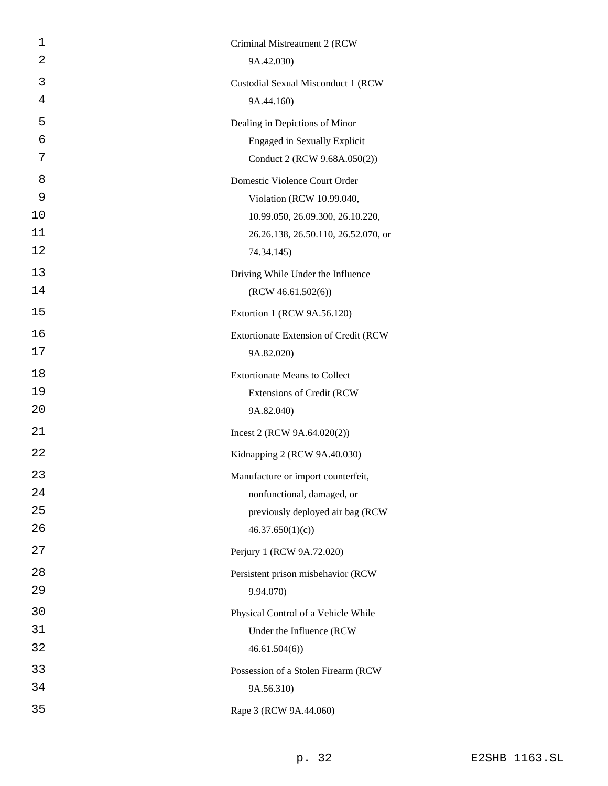| 1  | Criminal Mistreatment 2 (RCW          |
|----|---------------------------------------|
| 2  | 9A.42.030)                            |
| 3  | Custodial Sexual Misconduct 1 (RCW    |
| 4  | 9A.44.160)                            |
| 5  | Dealing in Depictions of Minor        |
| 6  | <b>Engaged in Sexually Explicit</b>   |
| 7  | Conduct 2 (RCW 9.68A.050(2))          |
| 8  | Domestic Violence Court Order         |
| 9  | Violation (RCW 10.99.040,             |
| 10 | 10.99.050, 26.09.300, 26.10.220,      |
| 11 | 26.26.138, 26.50.110, 26.52.070, or   |
| 12 | 74.34.145)                            |
| 13 | Driving While Under the Influence     |
| 14 | (RCW 46.61.502(6))                    |
| 15 | Extortion 1 (RCW 9A.56.120)           |
| 16 | Extortionate Extension of Credit (RCW |
| 17 | 9A.82.020)                            |
| 18 | <b>Extortionate Means to Collect</b>  |
| 19 | Extensions of Credit (RCW             |
| 20 | 9A.82.040)                            |
| 21 | Incest 2 (RCW $9A.64.020(2)$ )        |
| 22 | Kidnapping 2 (RCW 9A.40.030)          |
| 23 | Manufacture or import counterfeit,    |
| 24 | nonfunctional, damaged, or            |
| 25 | previously deployed air bag (RCW      |
| 26 | 46.37.650(1)(c)                       |
| 27 | Perjury 1 (RCW 9A.72.020)             |
| 28 | Persistent prison misbehavior (RCW    |
| 29 | 9.94.070)                             |
| 30 | Physical Control of a Vehicle While   |
| 31 | Under the Influence (RCW              |
| 32 | 46.61.504(6)                          |
| 33 | Possession of a Stolen Firearm (RCW   |
| 34 | 9A.56.310)                            |
| 35 | Rape 3 (RCW 9A.44.060)                |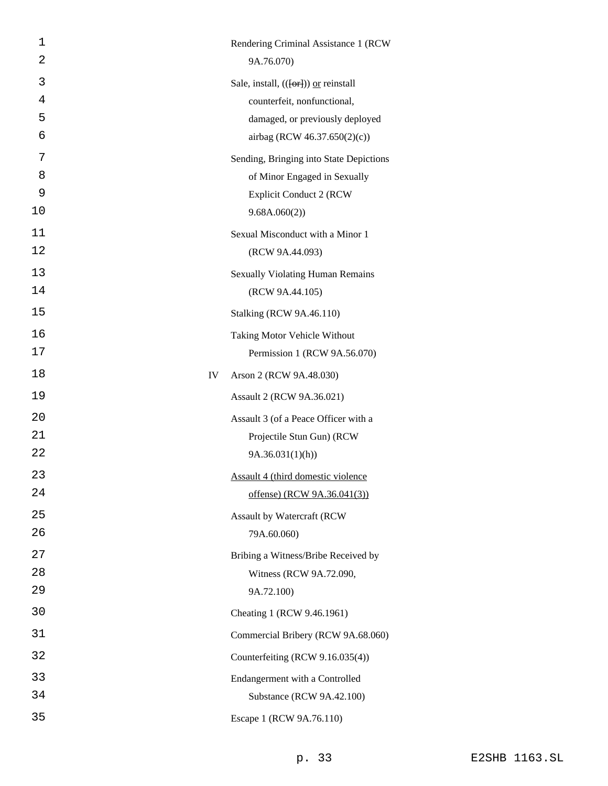| 1              |    | Rendering Criminal Assistance 1 (RCW)   |
|----------------|----|-----------------------------------------|
| $\overline{2}$ |    | 9A.76.070)                              |
| 3              |    | Sale, install, (({or})) or reinstall    |
| 4              |    | counterfeit, nonfunctional,             |
| 5              |    | damaged, or previously deployed         |
| 6              |    | airbag (RCW 46.37.650(2)(c))            |
| 7              |    | Sending, Bringing into State Depictions |
| 8              |    | of Minor Engaged in Sexually            |
| 9              |    | <b>Explicit Conduct 2 (RCW</b>          |
| 10             |    | 9.68A.060(2)                            |
| 11             |    | Sexual Misconduct with a Minor 1        |
| 12             |    | (RCW 9A.44.093)                         |
| 13             |    | <b>Sexually Violating Human Remains</b> |
| 14             |    | (RCW 9A.44.105)                         |
| 15             |    | <b>Stalking (RCW 9A.46.110)</b>         |
| 16             |    | Taking Motor Vehicle Without            |
| 17             |    | Permission 1 (RCW 9A.56.070)            |
| 18             | IV | Arson 2 (RCW 9A.48.030)                 |
| 19             |    | Assault 2 (RCW 9A.36.021)               |
| 20             |    | Assault 3 (of a Peace Officer with a    |
| 21             |    | Projectile Stun Gun) (RCW               |
| 22             |    | 9A.36.031(1)(h)                         |
| 23             |    | Assault 4 (third domestic violence      |
| 24             |    | offense) (RCW 9A.36.041(3))             |
| 25             |    | Assault by Watercraft (RCW              |
| 26             |    | 79A.60.060)                             |
| 27             |    | Bribing a Witness/Bribe Received by     |
| 28             |    | Witness (RCW 9A.72.090,                 |
| 29             |    | 9A.72.100)                              |
| 30             |    | Cheating 1 (RCW 9.46.1961)              |
| 31             |    | Commercial Bribery (RCW 9A.68.060)      |
| 32             |    | Counterfeiting (RCW 9.16.035(4))        |
| 33             |    | Endangerment with a Controlled          |
| 34             |    | Substance (RCW 9A.42.100)               |
| 35             |    | Escape 1 (RCW 9A.76.110)                |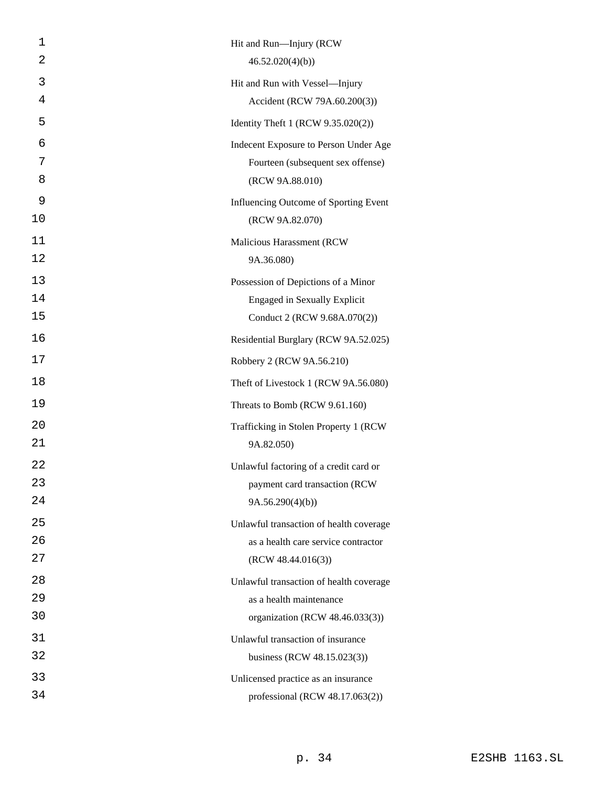| 1  | Hit and Run-Injury (RCW                 |
|----|-----------------------------------------|
| 2  | 46.52.020(4)(b)                         |
| 3  | Hit and Run with Vessel-Injury          |
| 4  | Accident (RCW 79A.60.200(3))            |
| 5  | Identity Theft 1 (RCW 9.35.020(2))      |
| 6  | Indecent Exposure to Person Under Age   |
| 7  | Fourteen (subsequent sex offense)       |
| 8  | (RCW 9A.88.010)                         |
| 9  | Influencing Outcome of Sporting Event   |
| 10 | (RCW 9A.82.070)                         |
| 11 | Malicious Harassment (RCW               |
| 12 | 9A.36.080)                              |
| 13 | Possession of Depictions of a Minor     |
| 14 | <b>Engaged in Sexually Explicit</b>     |
| 15 | Conduct 2 (RCW 9.68A.070(2))            |
| 16 | Residential Burglary (RCW 9A.52.025)    |
| 17 | Robbery 2 (RCW 9A.56.210)               |
| 18 | Theft of Livestock 1 (RCW 9A.56.080)    |
| 19 | Threats to Bomb (RCW 9.61.160)          |
| 20 | Trafficking in Stolen Property 1 (RCW   |
| 21 | 9A.82.050)                              |
| 22 | Unlawful factoring of a credit card or  |
| 23 | payment card transaction (RCW           |
| 24 | 9A.56.290(4)(b)                         |
| 25 | Unlawful transaction of health coverage |
| 26 | as a health care service contractor     |
| 27 | (RCW 48.44.016(3))                      |
| 28 | Unlawful transaction of health coverage |
| 29 | as a health maintenance                 |
| 30 | organization (RCW 48.46.033(3))         |
| 31 | Unlawful transaction of insurance       |
| 32 | business (RCW 48.15.023(3))             |
| 33 | Unlicensed practice as an insurance     |
| 34 | professional (RCW 48.17.063(2))         |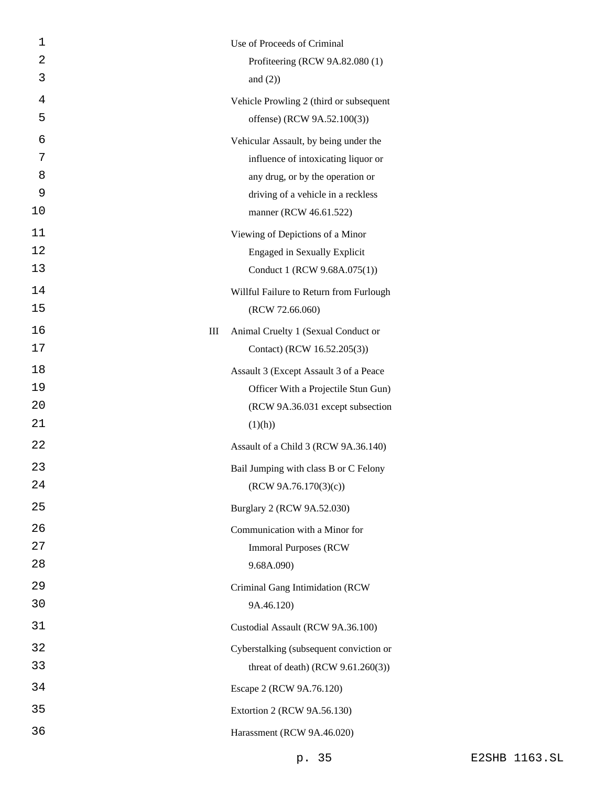| $\mathbf 1$ |   | Use of Proceeds of Criminal             |
|-------------|---|-----------------------------------------|
| 2           |   | Profiteering (RCW 9A.82.080 (1)         |
| 3           |   | and $(2)$ )                             |
| 4           |   | Vehicle Prowling 2 (third or subsequent |
| 5           |   | offense) (RCW 9A.52.100(3))             |
| 6           |   | Vehicular Assault, by being under the   |
| 7           |   | influence of intoxicating liquor or     |
| 8           |   | any drug, or by the operation or        |
| 9           |   | driving of a vehicle in a reckless      |
| 10          |   | manner (RCW 46.61.522)                  |
| 11          |   | Viewing of Depictions of a Minor        |
| 12          |   | <b>Engaged in Sexually Explicit</b>     |
| 13          |   | Conduct 1 (RCW 9.68A.075(1))            |
| 14          |   | Willful Failure to Return from Furlough |
| 15          |   | (RCW 72.66.060)                         |
| 16          | Ш | Animal Cruelty 1 (Sexual Conduct or     |
| 17          |   | Contact) (RCW 16.52.205(3))             |
| 18          |   | Assault 3 (Except Assault 3 of a Peace  |
| 19          |   | Officer With a Projectile Stun Gun)     |
| 20          |   | (RCW 9A.36.031 except subsection        |
| 21          |   | (1)(h))                                 |
| 22          |   | Assault of a Child 3 (RCW 9A.36.140)    |
| 23          |   | Bail Jumping with class B or C Felony   |
| 24          |   | (RCW 9A.76.170(3)(c))                   |
| 25          |   | Burglary 2 (RCW 9A.52.030)              |
| 26          |   | Communication with a Minor for          |
| 27          |   | <b>Immoral Purposes (RCW)</b>           |
| 28          |   | 9.68A.090)                              |
| 29          |   | Criminal Gang Intimidation (RCW         |
| 30          |   | 9A.46.120)                              |
| 31          |   | Custodial Assault (RCW 9A.36.100)       |
| 32          |   | Cyberstalking (subsequent conviction or |
| 33          |   | threat of death) (RCW $9.61.260(3)$ )   |
| 34          |   | Escape 2 (RCW 9A.76.120)                |
| 35          |   | Extortion 2 (RCW 9A.56.130)             |
| 36          |   | Harassment (RCW 9A.46.020)              |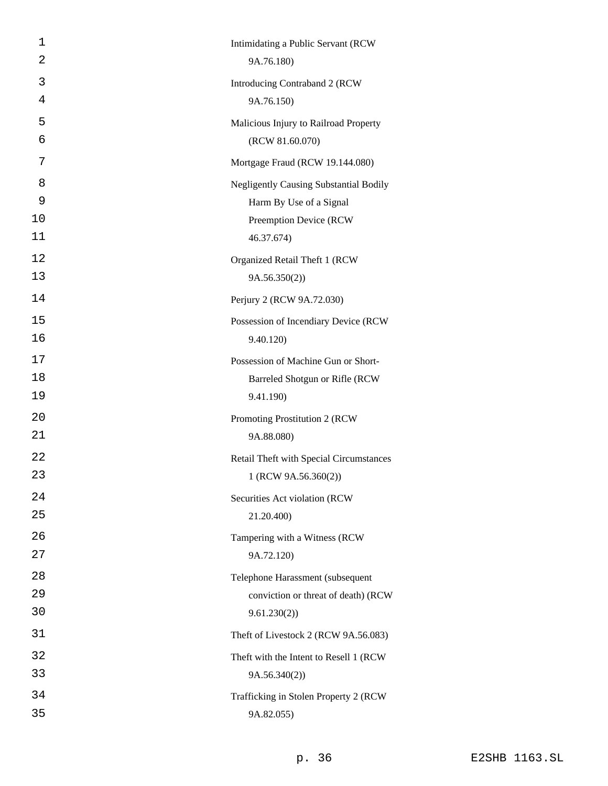| 1<br>2 | Intimidating a Public Servant (RCW<br>9A.76.180) |
|--------|--------------------------------------------------|
| 3      |                                                  |
| 4      | Introducing Contraband 2 (RCW<br>9A.76.150)      |
| 5      | Malicious Injury to Railroad Property            |
| 6      | (RCW 81.60.070)                                  |
| 7      | Mortgage Fraud (RCW 19.144.080)                  |
| 8      | <b>Negligently Causing Substantial Bodily</b>    |
| 9      | Harm By Use of a Signal                          |
| 10     | Preemption Device (RCW                           |
| 11     | 46.37.674)                                       |
| 12     | Organized Retail Theft 1 (RCW                    |
| 13     | 9A.56.350(2)                                     |
| 14     | Perjury 2 (RCW 9A.72.030)                        |
| 15     | Possession of Incendiary Device (RCW             |
| 16     | 9.40.120)                                        |
| 17     | Possession of Machine Gun or Short-              |
| 18     | Barreled Shotgun or Rifle (RCW                   |
| 19     | 9.41.190)                                        |
| 20     | Promoting Prostitution 2 (RCW                    |
| 21     | 9A.88.080)                                       |
| 22     | Retail Theft with Special Circumstances          |
| 23     | $1$ (RCW 9A.56.360(2))                           |
| 24     | Securities Act violation (RCW                    |
| 25     | 21.20.400)                                       |
| 26     | Tampering with a Witness (RCW                    |
| 27     | 9A.72.120)                                       |
| 28     | Telephone Harassment (subsequent                 |
| 29     | conviction or threat of death) (RCW              |
| 30     | 9.61.230(2)                                      |
| 31     | Theft of Livestock 2 (RCW 9A.56.083)             |
| 32     | Theft with the Intent to Resell 1 (RCW           |
| 33     | 9A.56.340(2)                                     |
| 34     | Trafficking in Stolen Property 2 (RCW            |
| 35     | 9A.82.055)                                       |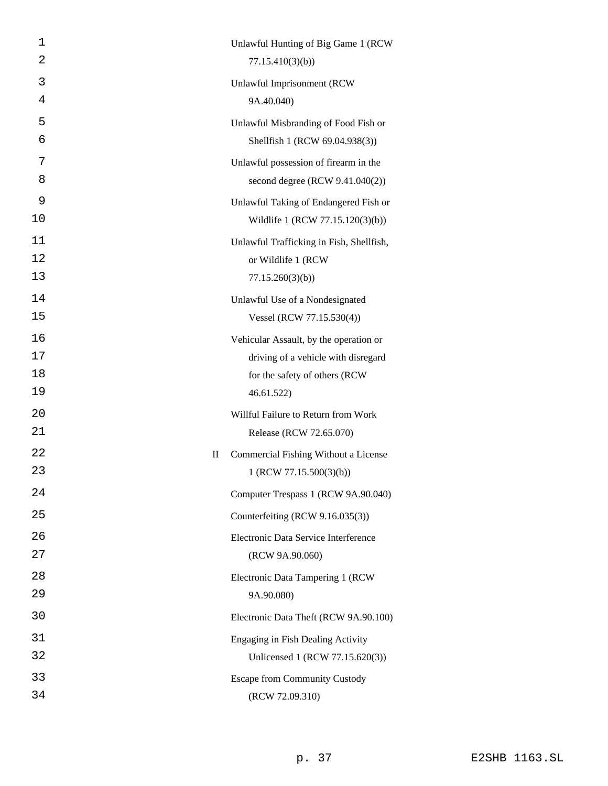| 1  |             | Unlawful Hunting of Big Game 1 (RCW      |
|----|-------------|------------------------------------------|
| 2  |             | 77.15.410(3)(b)                          |
| 3  |             | Unlawful Imprisonment (RCW               |
| 4  |             | 9A.40.040)                               |
| 5  |             | Unlawful Misbranding of Food Fish or     |
| 6  |             | Shellfish 1 (RCW 69.04.938(3))           |
| 7  |             | Unlawful possession of firearm in the    |
| 8  |             | second degree (RCW 9.41.040(2))          |
| 9  |             | Unlawful Taking of Endangered Fish or    |
| 10 |             | Wildlife 1 (RCW 77.15.120(3)(b))         |
| 11 |             | Unlawful Trafficking in Fish, Shellfish, |
| 12 |             | or Wildlife 1 (RCW                       |
| 13 |             | 77.15.260(3)(b)                          |
| 14 |             | Unlawful Use of a Nondesignated          |
| 15 |             | Vessel (RCW 77.15.530(4))                |
| 16 |             | Vehicular Assault, by the operation or   |
| 17 |             | driving of a vehicle with disregard      |
| 18 |             | for the safety of others (RCW            |
| 19 |             | 46.61.522)                               |
| 20 |             | Willful Failure to Return from Work      |
| 21 |             | Release (RCW 72.65.070)                  |
| 22 | $_{\rm II}$ | Commercial Fishing Without a License     |
| 23 |             | 1 (RCW 77.15.500(3)(b))                  |
| 24 |             | Computer Trespass 1 (RCW 9A.90.040)      |
| 25 |             | Counterfeiting (RCW 9.16.035(3))         |
| 26 |             | Electronic Data Service Interference     |
| 27 |             | (RCW 9A.90.060)                          |
| 28 |             | Electronic Data Tampering 1 (RCW         |
| 29 |             | 9A.90.080)                               |
| 30 |             | Electronic Data Theft (RCW 9A.90.100)    |
| 31 |             | Engaging in Fish Dealing Activity        |
| 32 |             | Unlicensed 1 (RCW 77.15.620(3))          |
| 33 |             | <b>Escape from Community Custody</b>     |
| 34 |             | (RCW 72.09.310)                          |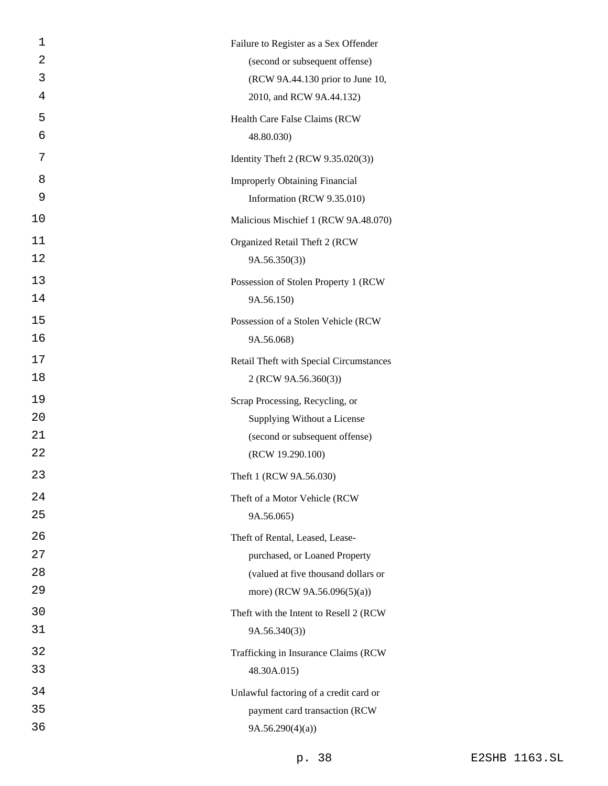| 1<br>$\overline{2}$ | Failure to Register as a Sex Offender                        |
|---------------------|--------------------------------------------------------------|
| 3                   | (second or subsequent offense)                               |
| 4                   | (RCW 9A.44.130 prior to June 10,<br>2010, and RCW 9A.44.132) |
|                     |                                                              |
| 5<br>6              | Health Care False Claims (RCW                                |
|                     | 48.80.030)                                                   |
| 7                   | Identity Theft 2 (RCW 9.35.020(3))                           |
| 8                   | <b>Improperly Obtaining Financial</b>                        |
| 9                   | Information (RCW 9.35.010)                                   |
| 10                  | Malicious Mischief 1 (RCW 9A.48.070)                         |
| 11                  | Organized Retail Theft 2 (RCW                                |
| 12                  | 9A.56.350(3)                                                 |
| 13                  | Possession of Stolen Property 1 (RCW                         |
| 14                  | 9A.56.150)                                                   |
| 15                  | Possession of a Stolen Vehicle (RCW                          |
| 16                  | 9A.56.068)                                                   |
| 17                  | Retail Theft with Special Circumstances                      |
| 18                  | 2 (RCW 9A.56.360(3))                                         |
| 19                  | Scrap Processing, Recycling, or                              |
| 20                  | Supplying Without a License                                  |
| 21                  | (second or subsequent offense)                               |
| 22                  | (RCW 19.290.100)                                             |
| 23                  | Theft 1 (RCW 9A.56.030)                                      |
| 24                  | Theft of a Motor Vehicle (RCW                                |
| 25                  | 9A.56.065)                                                   |
| 26                  | Theft of Rental, Leased, Lease-                              |
| 27                  | purchased, or Loaned Property                                |
| 28                  | (valued at five thousand dollars or                          |
| 29                  | more) (RCW 9A.56.096(5)(a))                                  |
| 30                  | Theft with the Intent to Resell 2 (RCW                       |
| 31                  | 9A.56.340(3)                                                 |
| 32                  | Trafficking in Insurance Claims (RCW                         |
| 33                  | 48.30A.015)                                                  |
| 34                  | Unlawful factoring of a credit card or                       |
| 35                  | payment card transaction (RCW                                |
| 36                  | 9A.56.290(4)(a)                                              |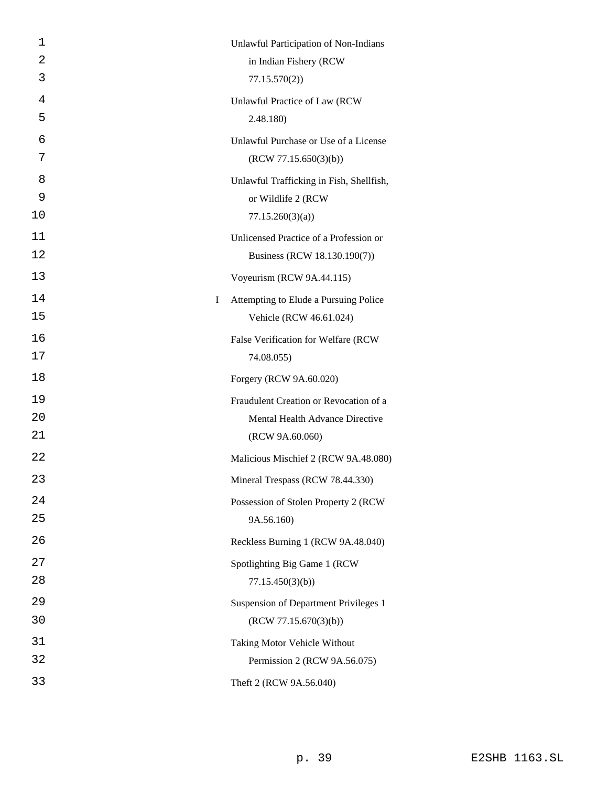|    | Unlawful Participation of Non-Indians      |
|----|--------------------------------------------|
| 2  | in Indian Fishery (RCW                     |
| 3  | 77.15.570(2)                               |
| 4  | Unlawful Practice of Law (RCW              |
| 5  | 2.48.180)                                  |
| 6  | Unlawful Purchase or Use of a License      |
| 7  | (RCW 77.15.650(3)(b))                      |
| 8  | Unlawful Trafficking in Fish, Shellfish,   |
| 9  | or Wildlife 2 (RCW                         |
| 10 | 77.15.260(3)(a)                            |
| 11 | Unlicensed Practice of a Profession or     |
| 12 | Business (RCW 18.130.190(7))               |
| 13 | Voyeurism (RCW 9A.44.115)                  |
| 14 | Attempting to Elude a Pursuing Police<br>I |
| 15 | Vehicle (RCW 46.61.024)                    |
| 16 | False Verification for Welfare (RCW        |
|    |                                            |
| 17 | 74.08.055)                                 |
| 18 | Forgery (RCW 9A.60.020)                    |
| 19 | Fraudulent Creation or Revocation of a     |
| 20 | Mental Health Advance Directive            |
| 21 | (RCW 9A.60.060)                            |
| 22 | Malicious Mischief 2 (RCW 9A.48.080)       |
| 23 | Mineral Trespass (RCW 78.44.330)           |
| 24 | Possession of Stolen Property 2 (RCW       |
| 25 | 9A.56.160)                                 |
| 26 | Reckless Burning 1 (RCW 9A.48.040)         |
| 27 | Spotlighting Big Game 1 (RCW               |
| 28 | 77.15.450(3)(b)                            |
| 29 | Suspension of Department Privileges 1      |
| 30 | (RCW 77.15.670(3)(b))                      |
| 31 | Taking Motor Vehicle Without               |
| 32 | Permission 2 (RCW 9A.56.075)               |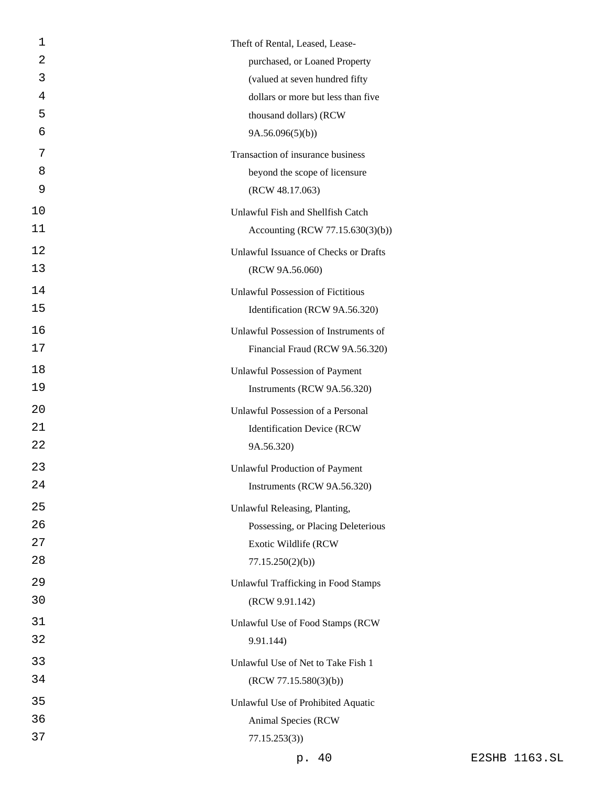| 1  | Theft of Rental, Leased, Lease-          |
|----|------------------------------------------|
| 2  | purchased, or Loaned Property            |
| 3  | (valued at seven hundred fifty           |
| 4  | dollars or more but less than five       |
| 5  | thousand dollars) (RCW                   |
| 6  | 9A.56.096(5)(b)                          |
| 7  | Transaction of insurance business        |
| 8  | beyond the scope of licensure            |
| 9  | (RCW 48.17.063)                          |
| 10 | Unlawful Fish and Shellfish Catch        |
| 11 | Accounting (RCW 77.15.630(3)(b))         |
| 12 | Unlawful Issuance of Checks or Drafts    |
| 13 | (RCW 9A.56.060)                          |
| 14 | <b>Unlawful Possession of Fictitious</b> |
| 15 | Identification (RCW 9A.56.320)           |
| 16 | Unlawful Possession of Instruments of    |
| 17 | Financial Fraud (RCW 9A.56.320)          |
| 18 | <b>Unlawful Possession of Payment</b>    |
| 19 | Instruments (RCW 9A.56.320)              |
| 20 | Unlawful Possession of a Personal        |
| 21 | <b>Identification Device (RCW</b>        |
| 22 | 9A.56.320)                               |
| 23 | <b>Unlawful Production of Payment</b>    |
| 24 | Instruments (RCW 9A.56.320)              |
| 25 | Unlawful Releasing, Planting,            |
| 26 | Possessing, or Placing Deleterious       |
| 27 | Exotic Wildlife (RCW                     |
| 28 | 77.15.250(2)(b)                          |
| 29 | Unlawful Trafficking in Food Stamps      |
| 30 | (RCW 9.91.142)                           |
| 31 | Unlawful Use of Food Stamps (RCW         |
| 32 | 9.91.144)                                |
| 33 | Unlawful Use of Net to Take Fish 1       |
| 34 | (RCW 77.15.580(3)(b))                    |
| 35 | Unlawful Use of Prohibited Aquatic       |
| 36 | Animal Species (RCW                      |
| 37 | 77.15.253(3)                             |